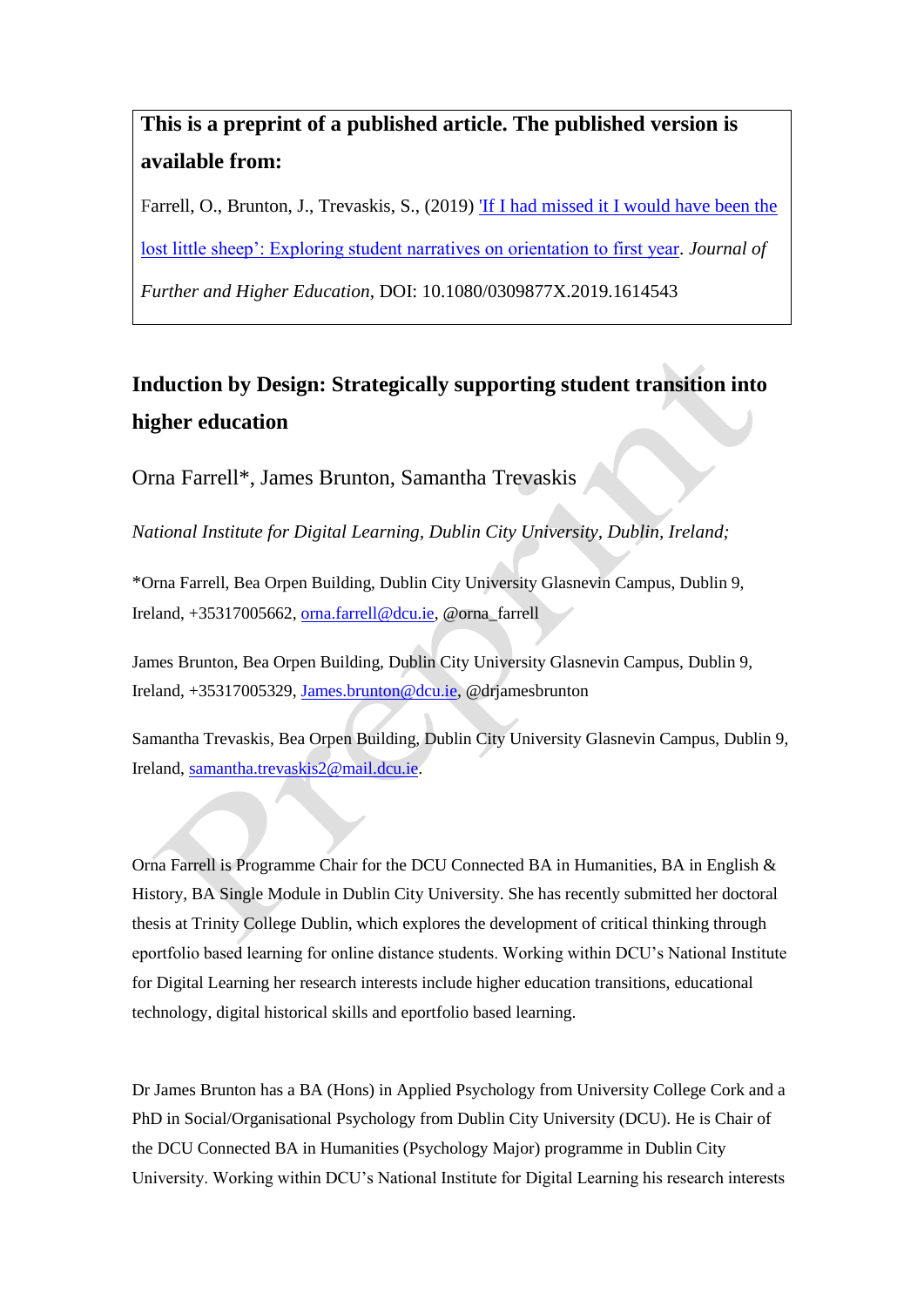# **This is a preprint of a published article. The published version is available from:**

Farrell, O., Brunton, J., Trevaskis, S., (2019) ['If I had missed](https://www.tandfonline.com/doi/full/10.1080/0309877X.2019.1614543) [it I would have been the](https://www.tandfonline.com/doi/full/10.1080/0309877X.2019.1614543)  [lost little sheep': Exploring student narratives on orientation to first year.](https://www.tandfonline.com/doi/full/10.1080/0309877X.2019.1614543) *Journal of* 

*Further and Higher Education*, DOI: 10.1080/0309877X.2019.1614543

# **Induction by Design: Strategically supporting student transition into higher education**

Orna Farrell\*, James Brunton, Samantha Trevaskis

*National Institute for Digital Learning, Dublin City University, Dublin, Ireland;*

\*Orna Farrell, Bea Orpen Building, Dublin City University Glasnevin Campus, Dublin 9, Ireland, +35317005662, [orna.farrell@dcu.ie,](mailto:orna.farrell@dcu.ie) @orna\_farrell

James Brunton, Bea Orpen Building, Dublin City University Glasnevin Campus, Dublin 9, Ireland, +35317005329, [James.brunton@dcu.ie,](mailto:James.brunton@dcu.ie) @drjamesbrunton

Samantha Trevaskis, Bea Orpen Building, Dublin City University Glasnevin Campus, Dublin 9, Ireland[, samantha.trevaskis2@mail.dcu.ie.](mailto:samantha.trevaskis2@mail.dcu.ie)

Orna Farrell is Programme Chair for the DCU Connected BA in Humanities, BA in English & History, BA Single Module in Dublin City University. She has recently submitted her doctoral thesis at Trinity College Dublin, which explores the development of critical thinking through eportfolio based learning for online distance students. Working within DCU's National Institute for Digital Learning her research interests include higher education transitions, educational technology, digital historical skills and eportfolio based learning.

Dr James Brunton has a BA (Hons) in Applied Psychology from University College Cork and a PhD in Social/Organisational Psychology from Dublin City University (DCU). He is Chair of the DCU Connected BA in Humanities (Psychology Major) programme in Dublin City University. Working within DCU's National Institute for Digital Learning his research interests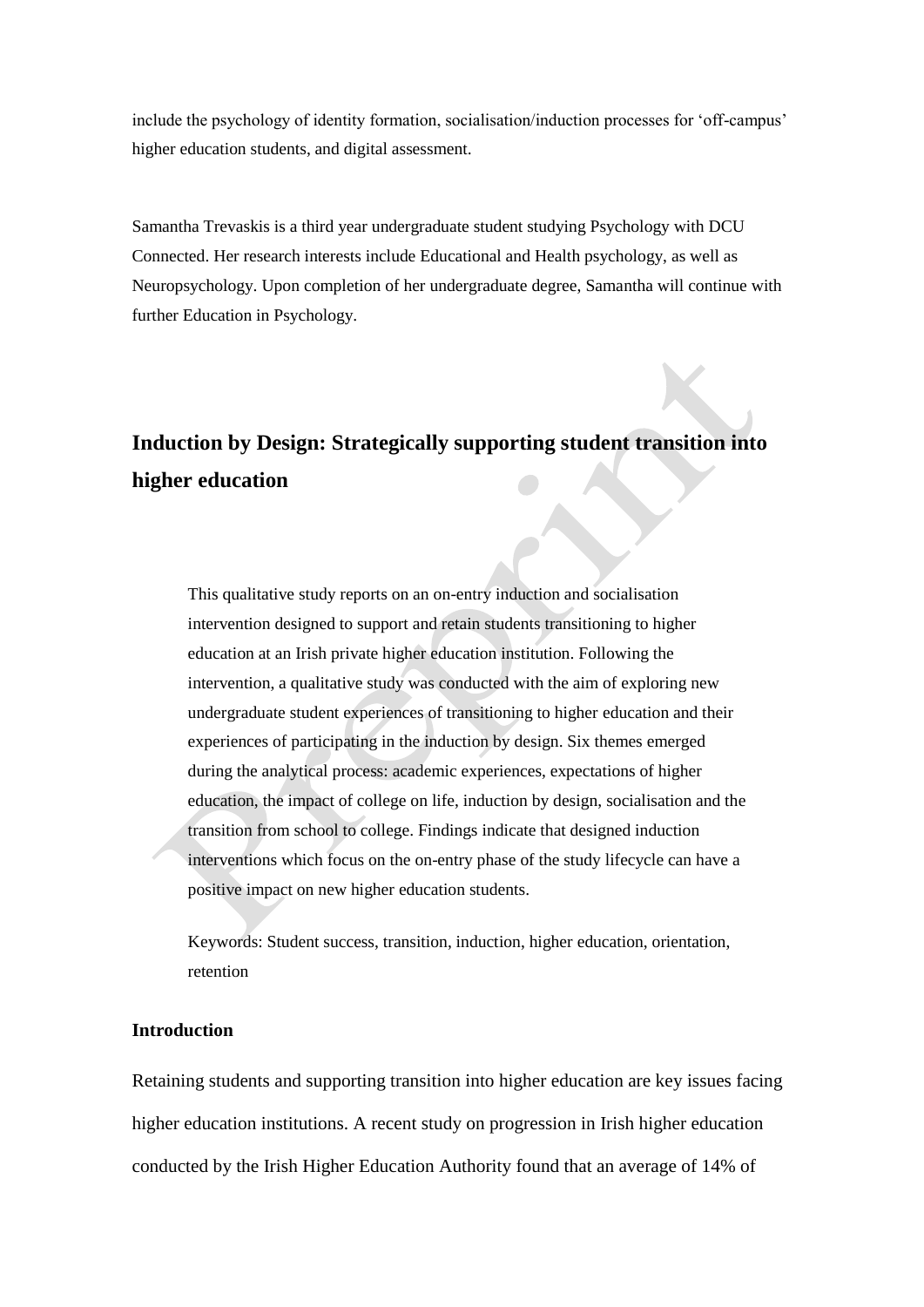include the psychology of identity formation, socialisation/induction processes for 'off-campus' higher education students, and digital assessment.

Samantha Trevaskis is a third year undergraduate student studying Psychology with DCU Connected. Her research interests include Educational and Health psychology, as well as Neuropsychology. Upon completion of her undergraduate degree, Samantha will continue with further Education in Psychology.

# **Induction by Design: Strategically supporting student transition into higher education**

This qualitative study reports on an on-entry induction and socialisation intervention designed to support and retain students transitioning to higher education at an Irish private higher education institution. Following the intervention, a qualitative study was conducted with the aim of exploring new undergraduate student experiences of transitioning to higher education and their experiences of participating in the induction by design. Six themes emerged during the analytical process: academic experiences, expectations of higher education, the impact of college on life, induction by design, socialisation and the transition from school to college. Findings indicate that designed induction interventions which focus on the on-entry phase of the study lifecycle can have a positive impact on new higher education students.

Keywords: Student success, transition, induction, higher education, orientation, retention

# **Introduction**

Retaining students and supporting transition into higher education are key issues facing higher education institutions. A recent study on progression in Irish higher education conducted by the Irish Higher Education Authority found that an average of 14% of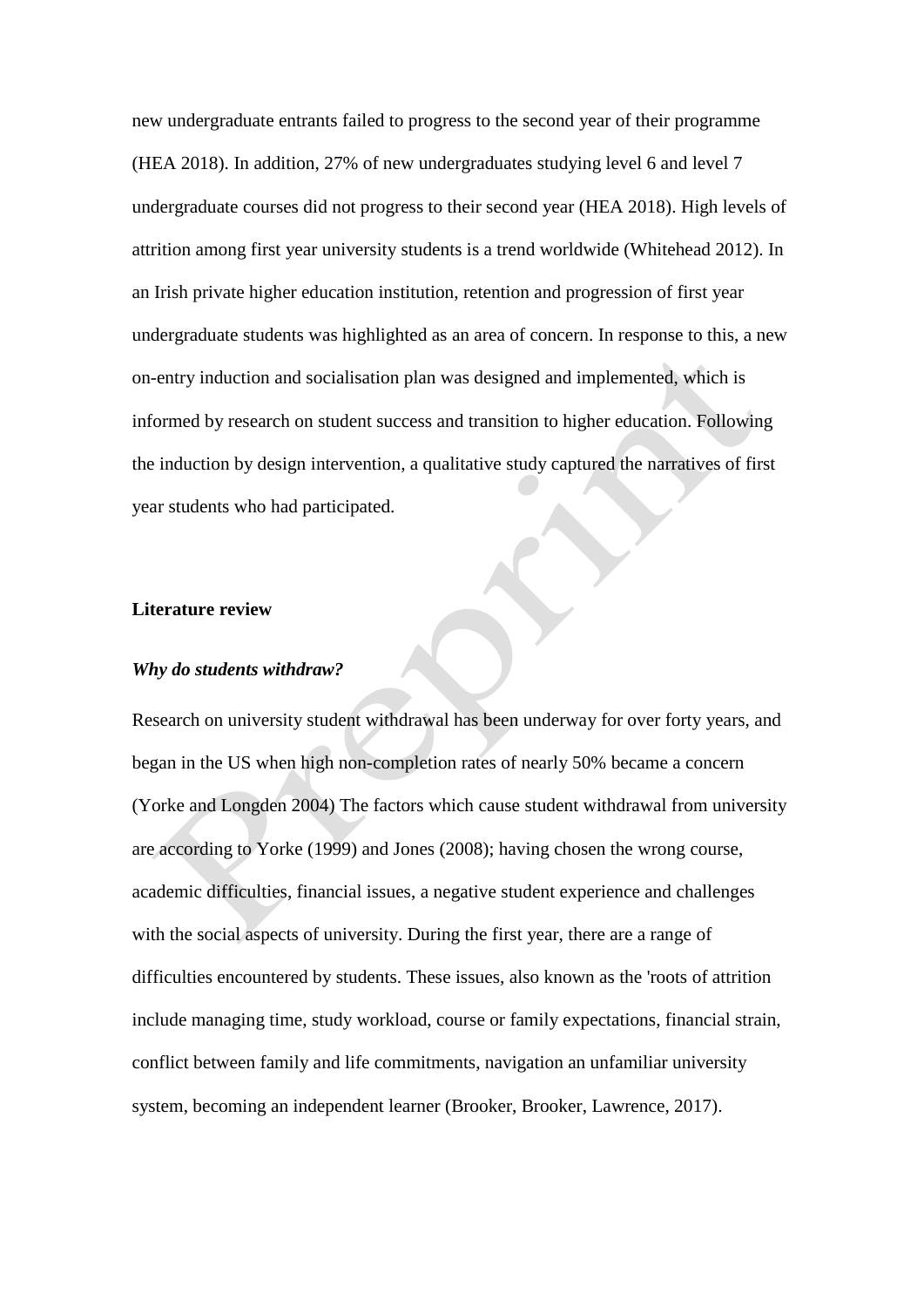new undergraduate entrants failed to progress to the second year of their programme (HEA 2018). In addition, 27% of new undergraduates studying level 6 and level 7 undergraduate courses did not progress to their second year (HEA 2018). High levels of attrition among first year university students is a trend worldwide (Whitehead 2012). In an Irish private higher education institution, retention and progression of first year undergraduate students was highlighted as an area of concern. In response to this, a new on-entry induction and socialisation plan was designed and implemented, which is informed by research on student success and transition to higher education. Following the induction by design intervention, a qualitative study captured the narratives of first year students who had participated.

## **Literature review**

### *Why do students withdraw?*

Research on university student withdrawal has been underway for over forty years, and began in the US when high non-completion rates of nearly 50% became a concern (Yorke and Longden 2004) The factors which cause student withdrawal from university are according to Yorke (1999) and Jones (2008); having chosen the wrong course, academic difficulties, financial issues, a negative student experience and challenges with the social aspects of university. During the first year, there are a range of difficulties encountered by students. These issues, also known as the 'roots of attrition include managing time, study workload, course or family expectations, financial strain, conflict between family and life commitments, navigation an unfamiliar university system, becoming an independent learner (Brooker, Brooker, Lawrence, 2017).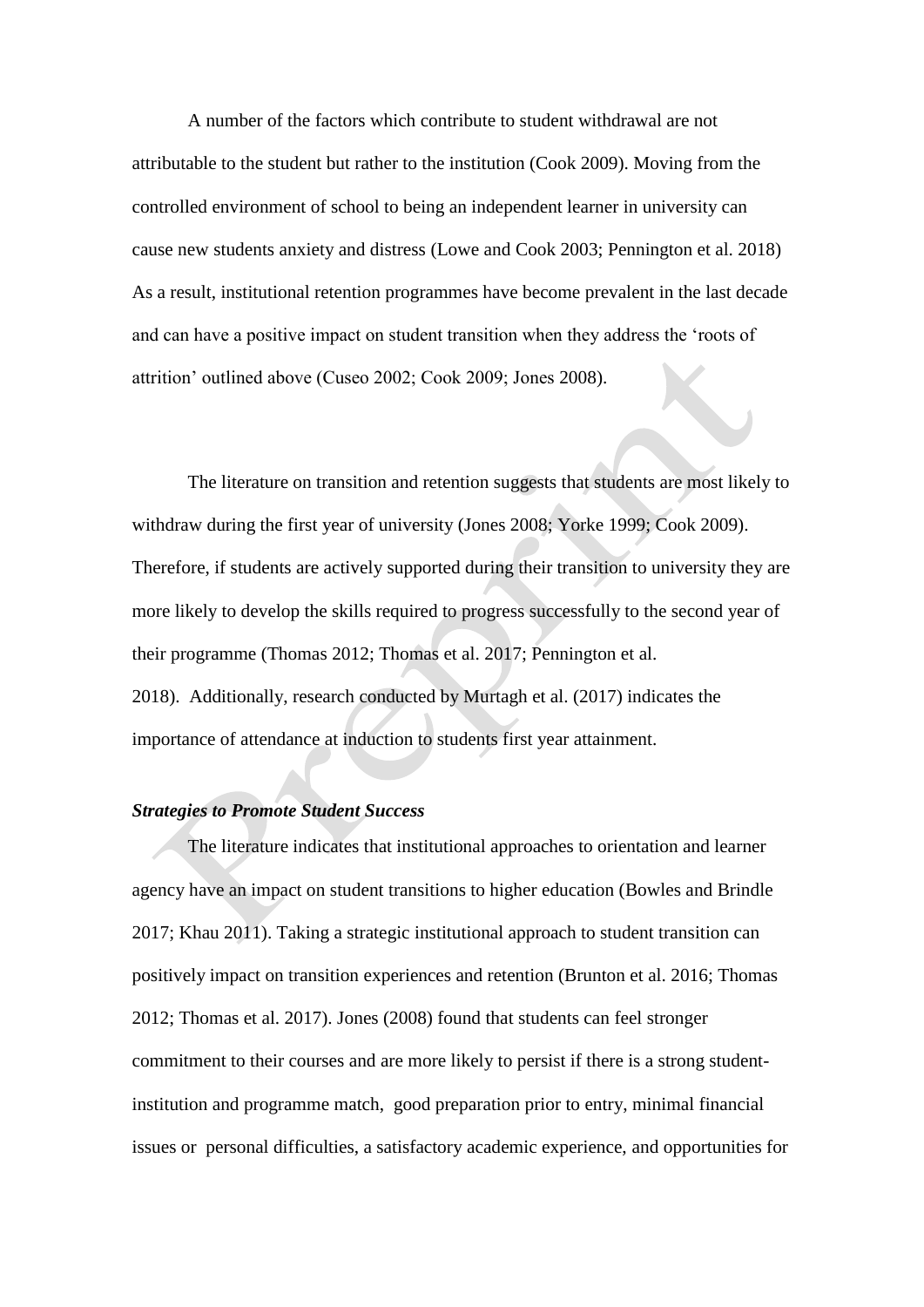A number of the factors which contribute to student withdrawal are not attributable to the student but rather to the institution (Cook 2009). Moving from the controlled environment of school to being an independent learner in university can cause new students anxiety and distress (Lowe and Cook 2003; Pennington et al. 2018) As a result, institutional retention programmes have become prevalent in the last decade and can have a positive impact on student transition when they address the 'roots of attrition' outlined above (Cuseo 2002; Cook 2009; Jones 2008).

The literature on transition and retention suggests that students are most likely to withdraw during the first year of university (Jones 2008; Yorke 1999; Cook 2009). Therefore, if students are actively supported during their transition to university they are more likely to develop the skills required to progress successfully to the second year of their programme (Thomas 2012; Thomas et al. 2017; Pennington et al. 2018). Additionally, research conducted by Murtagh et al. (2017) indicates the importance of attendance at induction to students first year attainment.

# *Strategies to Promote Student Success*

The literature indicates that institutional approaches to orientation and learner agency have an impact on student transitions to higher education (Bowles and Brindle 2017; Khau 2011). Taking a strategic institutional approach to student transition can positively impact on transition experiences and retention (Brunton et al. 2016; Thomas 2012; Thomas et al. 2017). Jones (2008) found that students can feel stronger commitment to their courses and are more likely to persist if there is a strong studentinstitution and programme match, good preparation prior to entry, minimal financial issues or personal difficulties, a satisfactory academic experience, and opportunities for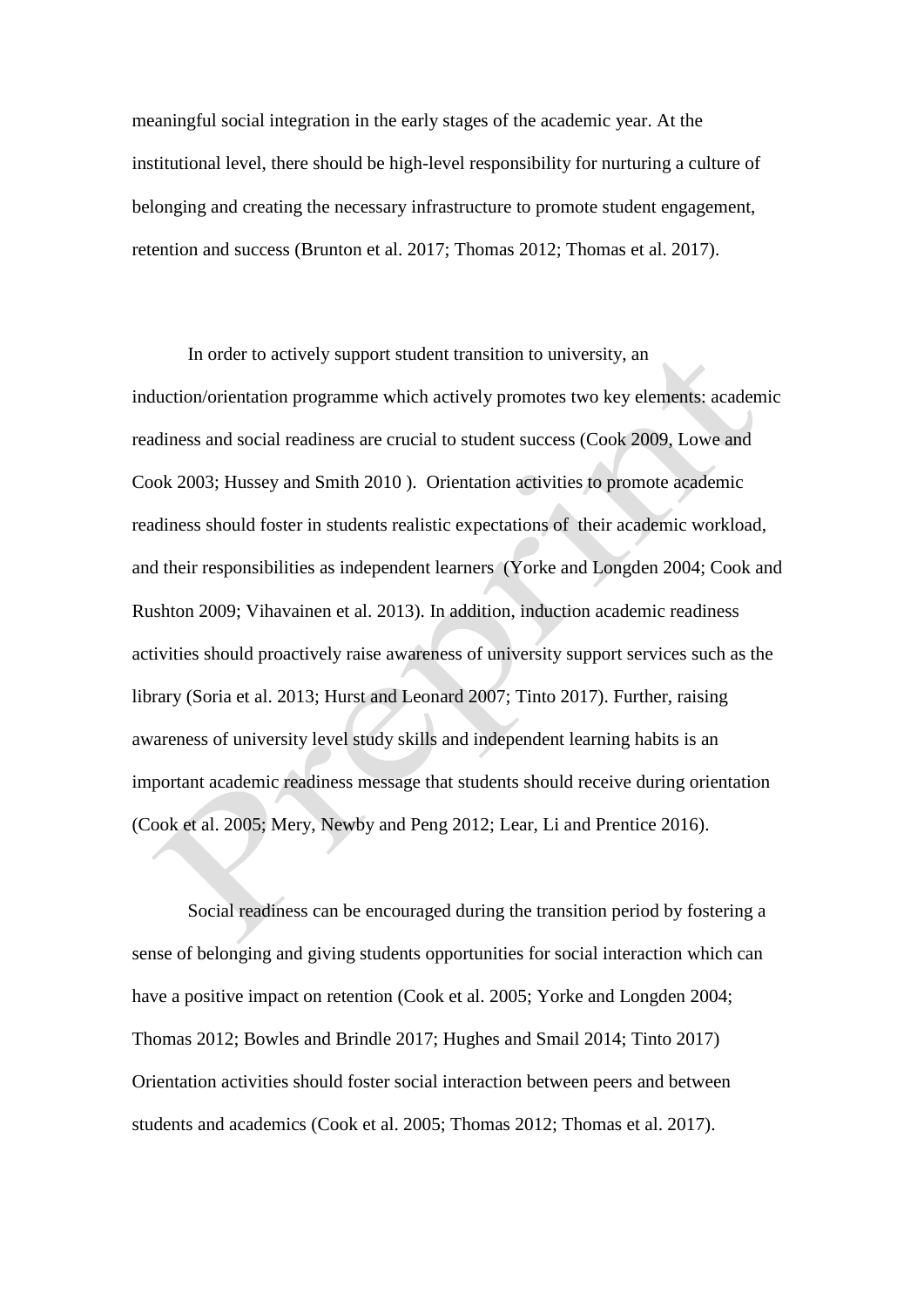meaningful social integration in the early stages of the academic year. At the institutional level, there should be high-level responsibility for nurturing a culture of belonging and creating the necessary infrastructure to promote student engagement, retention and success (Brunton et al. 2017; Thomas 2012; Thomas et al. 2017).

In order to actively support student transition to university, an induction/orientation programme which actively promotes two key elements: academic readiness and social readiness are crucial to student success (Cook 2009, Lowe and Cook 2003; Hussey and Smith 2010 ). Orientation activities to promote academic readiness should foster in students realistic expectations of their academic workload, and their responsibilities as independent learners (Yorke and Longden 2004; Cook and Rushton 2009; Vihavainen et al. 2013). In addition, induction academic readiness activities should proactively raise awareness of university support services such as the library (Soria et al. 2013; Hurst and Leonard 2007; Tinto 2017). Further, raising awareness of university level study skills and independent learning habits is an important academic readiness message that students should receive during orientation (Cook et al. 2005; Mery, Newby and Peng 2012; Lear, Li and Prentice 2016).

Social readiness can be encouraged during the transition period by fostering a sense of belonging and giving students opportunities for social interaction which can have a positive impact on retention (Cook et al. 2005; Yorke and Longden 2004; Thomas 2012; Bowles and Brindle 2017; Hughes and Smail 2014; Tinto 2017) Orientation activities should foster social interaction between peers and between students and academics (Cook et al. 2005; Thomas 2012; Thomas et al. 2017).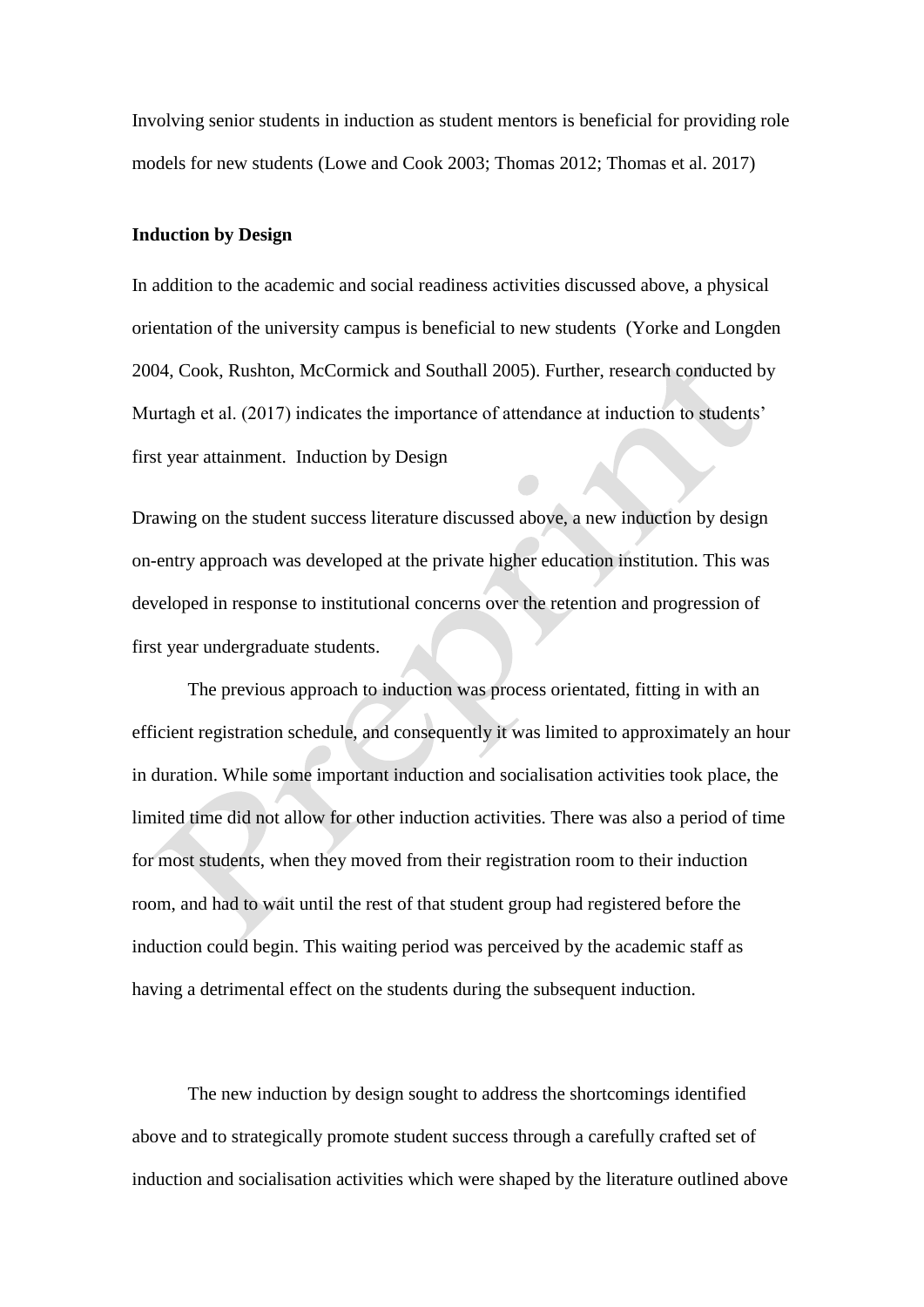Involving senior students in induction as student mentors is beneficial for providing role models for new students (Lowe and Cook 2003; Thomas 2012; Thomas et al. 2017)

### **Induction by Design**

In addition to the academic and social readiness activities discussed above, a physical orientation of the university campus is beneficial to new students (Yorke and Longden 2004, Cook, Rushton, McCormick and Southall 2005). Further, research conducted by Murtagh et al. (2017) indicates the importance of attendance at induction to students' first year attainment. Induction by Design

Drawing on the student success literature discussed above, a new induction by design on-entry approach was developed at the private higher education institution. This was developed in response to institutional concerns over the retention and progression of first year undergraduate students.

The previous approach to induction was process orientated, fitting in with an efficient registration schedule, and consequently it was limited to approximately an hour in duration. While some important induction and socialisation activities took place, the limited time did not allow for other induction activities. There was also a period of time for most students, when they moved from their registration room to their induction room, and had to wait until the rest of that student group had registered before the induction could begin. This waiting period was perceived by the academic staff as having a detrimental effect on the students during the subsequent induction.

The new induction by design sought to address the shortcomings identified above and to strategically promote student success through a carefully crafted set of induction and socialisation activities which were shaped by the literature outlined above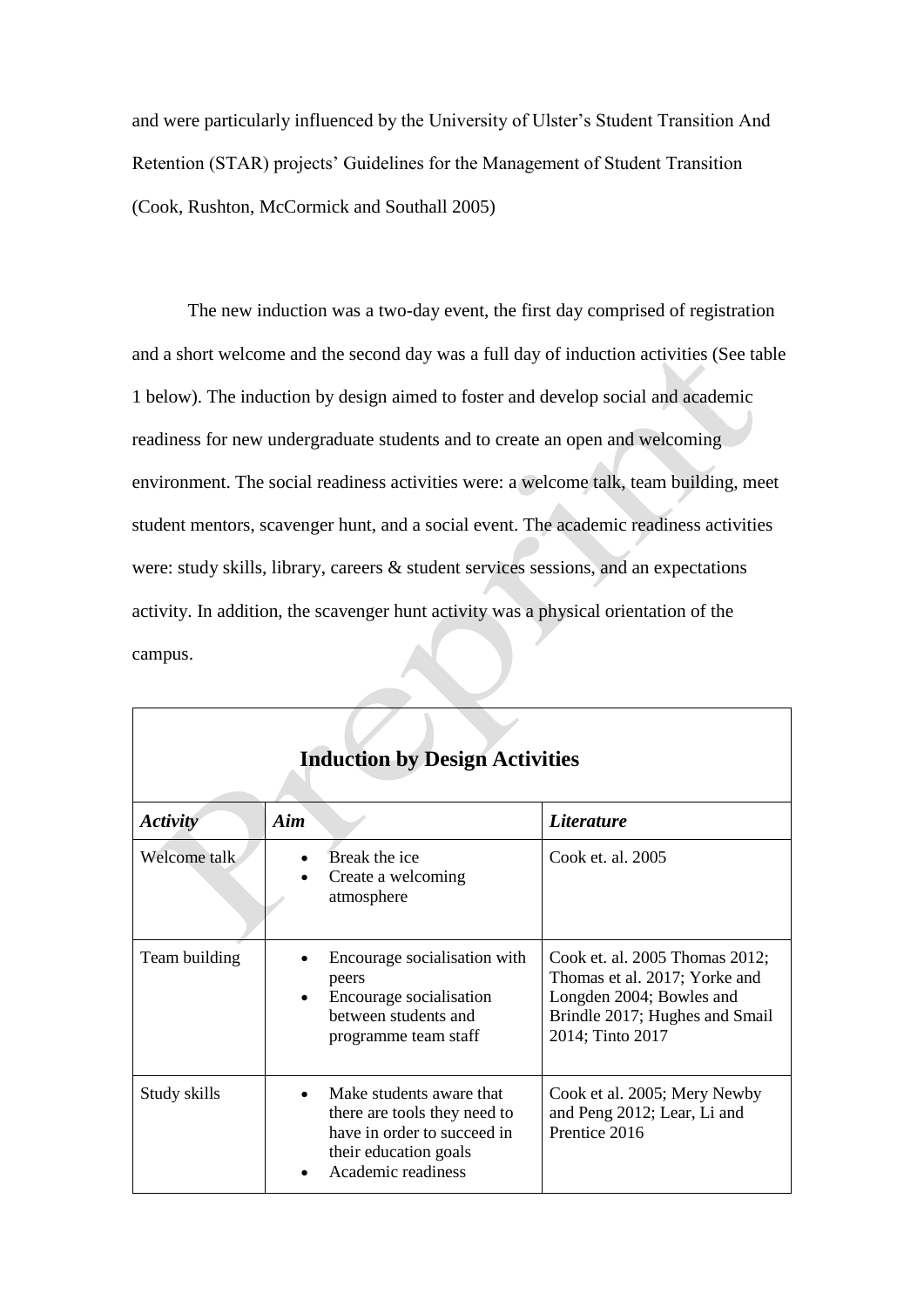and were particularly influenced by the University of Ulster's Student Transition And Retention (STAR) projects' Guidelines for the Management of Student Transition (Cook, Rushton, McCormick and Southall 2005)

The new induction was a two-day event, the first day comprised of registration and a short welcome and the second day was a full day of induction activities (See table 1 below). The induction by design aimed to foster and develop social and academic readiness for new undergraduate students and to create an open and welcoming environment. The social readiness activities were: a welcome talk, team building, meet student mentors, scavenger hunt, and a social event. The academic readiness activities were: study skills, library, careers & student services sessions, and an expectations activity. In addition, the scavenger hunt activity was a physical orientation of the campus.

| <b>Induction by Design Activities</b> |                                                                                                                                        |                                                                                                                                                   |  |
|---------------------------------------|----------------------------------------------------------------------------------------------------------------------------------------|---------------------------------------------------------------------------------------------------------------------------------------------------|--|
| Activity                              | Aim                                                                                                                                    | <i>Literature</i>                                                                                                                                 |  |
| Welcome talk                          | Break the ice<br>Create a welcoming<br>atmosphere                                                                                      | Cook et. al. 2005                                                                                                                                 |  |
| Team building                         | Encourage socialisation with<br>peers<br>Encourage socialisation<br>between students and<br>programme team staff                       | Cook et. al. 2005 Thomas 2012;<br>Thomas et al. 2017; Yorke and<br>Longden 2004; Bowles and<br>Brindle 2017; Hughes and Smail<br>2014; Tinto 2017 |  |
| Study skills                          | Make students aware that<br>there are tools they need to<br>have in order to succeed in<br>their education goals<br>Academic readiness | Cook et al. 2005; Mery Newby<br>and Peng 2012; Lear, Li and<br>Prentice 2016                                                                      |  |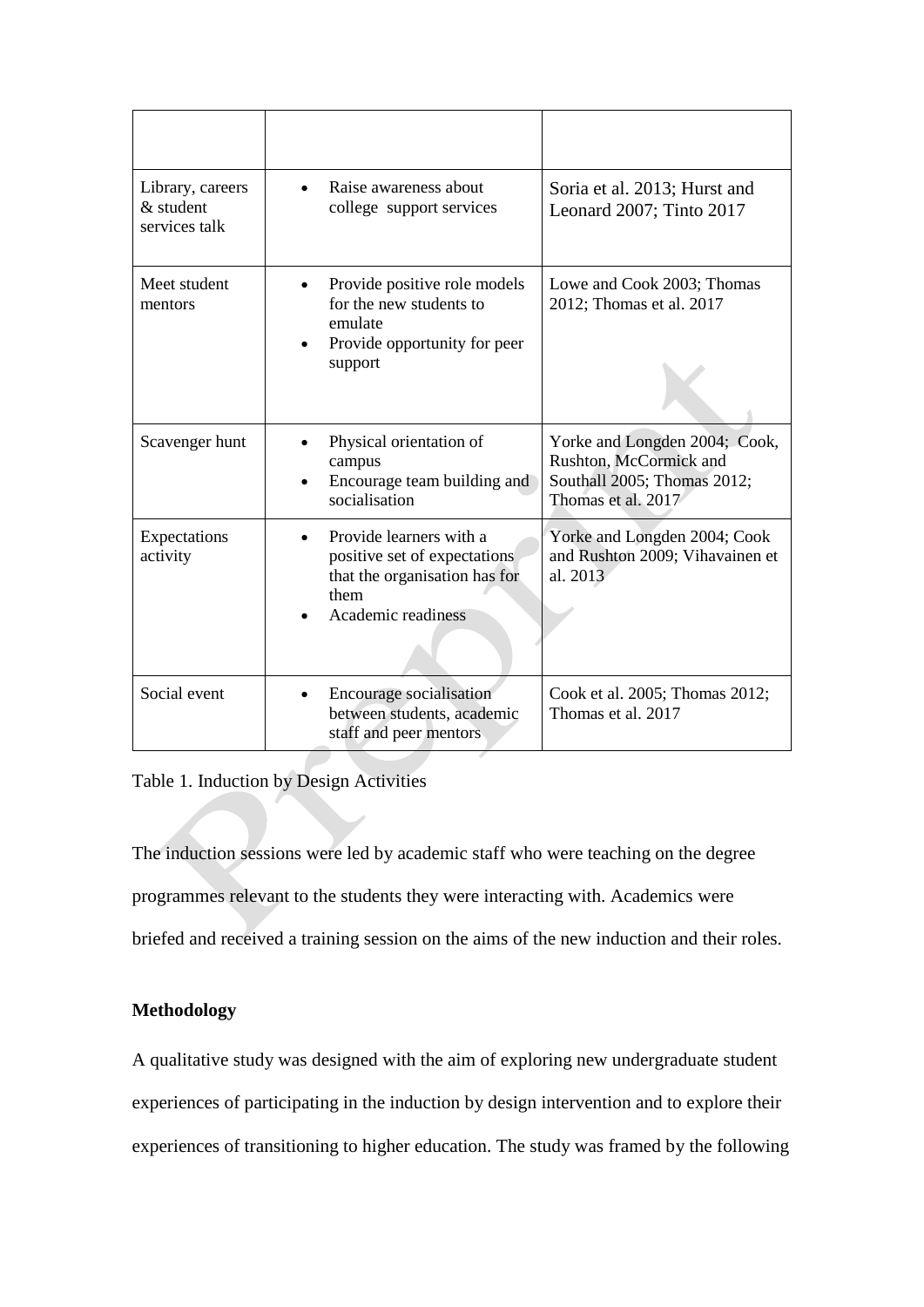| Library, careers<br>& student<br>services talk | Raise awareness about<br>college support services                                                                      | Soria et al. 2013; Hurst and<br>Leonard 2007; Tinto 2017                                                     |
|------------------------------------------------|------------------------------------------------------------------------------------------------------------------------|--------------------------------------------------------------------------------------------------------------|
| Meet student<br>mentors                        | Provide positive role models<br>for the new students to<br>emulate<br>Provide opportunity for peer<br>support          | Lowe and Cook 2003; Thomas<br>2012; Thomas et al. 2017                                                       |
| Scavenger hunt                                 | Physical orientation of<br>campus<br>Encourage team building and<br>socialisation                                      | Yorke and Longden 2004; Cook,<br>Rushton, McCormick and<br>Southall 2005; Thomas 2012;<br>Thomas et al. 2017 |
| Expectations<br>activity                       | Provide learners with a<br>positive set of expectations<br>that the organisation has for<br>them<br>Academic readiness | Yorke and Longden 2004; Cook<br>and Rushton 2009; Vihavainen et<br>al. 2013                                  |
| Social event                                   | Encourage socialisation<br>between students, academic<br>staff and peer mentors                                        | Cook et al. 2005; Thomas 2012;<br>Thomas et al. 2017                                                         |

Table 1. Induction by Design Activities

The induction sessions were led by academic staff who were teaching on the degree programmes relevant to the students they were interacting with. Academics were briefed and received a training session on the aims of the new induction and their roles.

# **Methodology**

A qualitative study was designed with the aim of exploring new undergraduate student experiences of participating in the induction by design intervention and to explore their experiences of transitioning to higher education. The study was framed by the following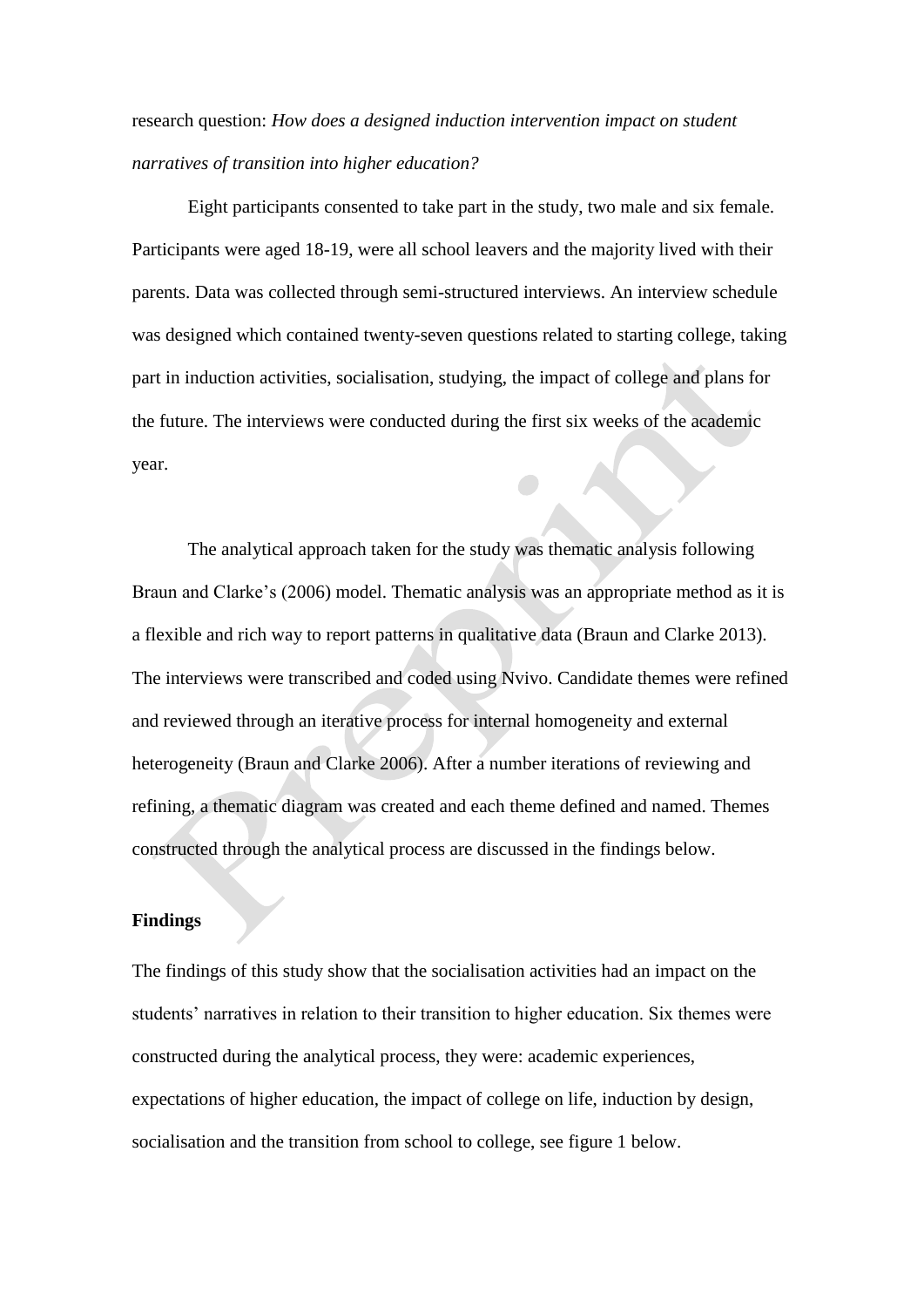research question: *How does a designed induction intervention impact on student narratives of transition into higher education?*

Eight participants consented to take part in the study, two male and six female. Participants were aged 18-19, were all school leavers and the majority lived with their parents. Data was collected through semi-structured interviews. An interview schedule was designed which contained twenty-seven questions related to starting college, taking part in induction activities, socialisation, studying, the impact of college and plans for the future. The interviews were conducted during the first six weeks of the academic year.

The analytical approach taken for the study was thematic analysis following Braun and Clarke's (2006) model. Thematic analysis was an appropriate method as it is a flexible and rich way to report patterns in qualitative data (Braun and Clarke 2013). The interviews were transcribed and coded using Nvivo. Candidate themes were refined and reviewed through an iterative process for internal homogeneity and external heterogeneity (Braun and Clarke 2006). After a number iterations of reviewing and refining, a thematic diagram was created and each theme defined and named. Themes constructed through the analytical process are discussed in the findings below.

#### **Findings**

The findings of this study show that the socialisation activities had an impact on the students' narratives in relation to their transition to higher education. Six themes were constructed during the analytical process, they were: academic experiences, expectations of higher education, the impact of college on life, induction by design, socialisation and the transition from school to college, see figure 1 below.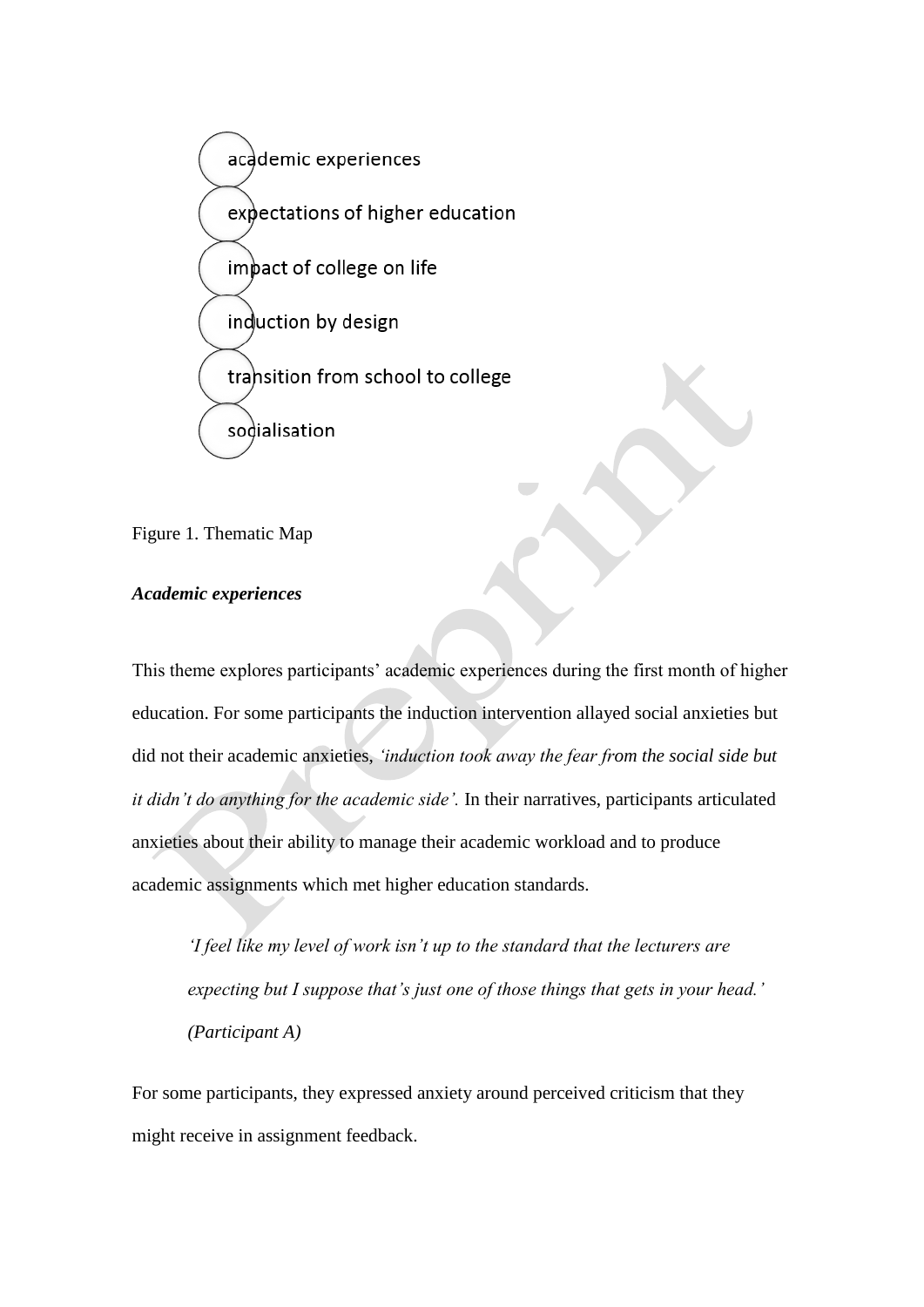

Figure 1. Thematic Map

# *Academic experiences*

This theme explores participants' academic experiences during the first month of higher education. For some participants the induction intervention allayed social anxieties but did not their academic anxieties, *'induction took away the fear from the social side but it didn't do anything for the academic side'.* In their narratives, participants articulated anxieties about their ability to manage their academic workload and to produce academic assignments which met higher education standards.

*'I feel like my level of work isn't up to the standard that the lecturers are expecting but I suppose that's just one of those things that gets in your head.' (Participant A)*

For some participants, they expressed anxiety around perceived criticism that they might receive in assignment feedback.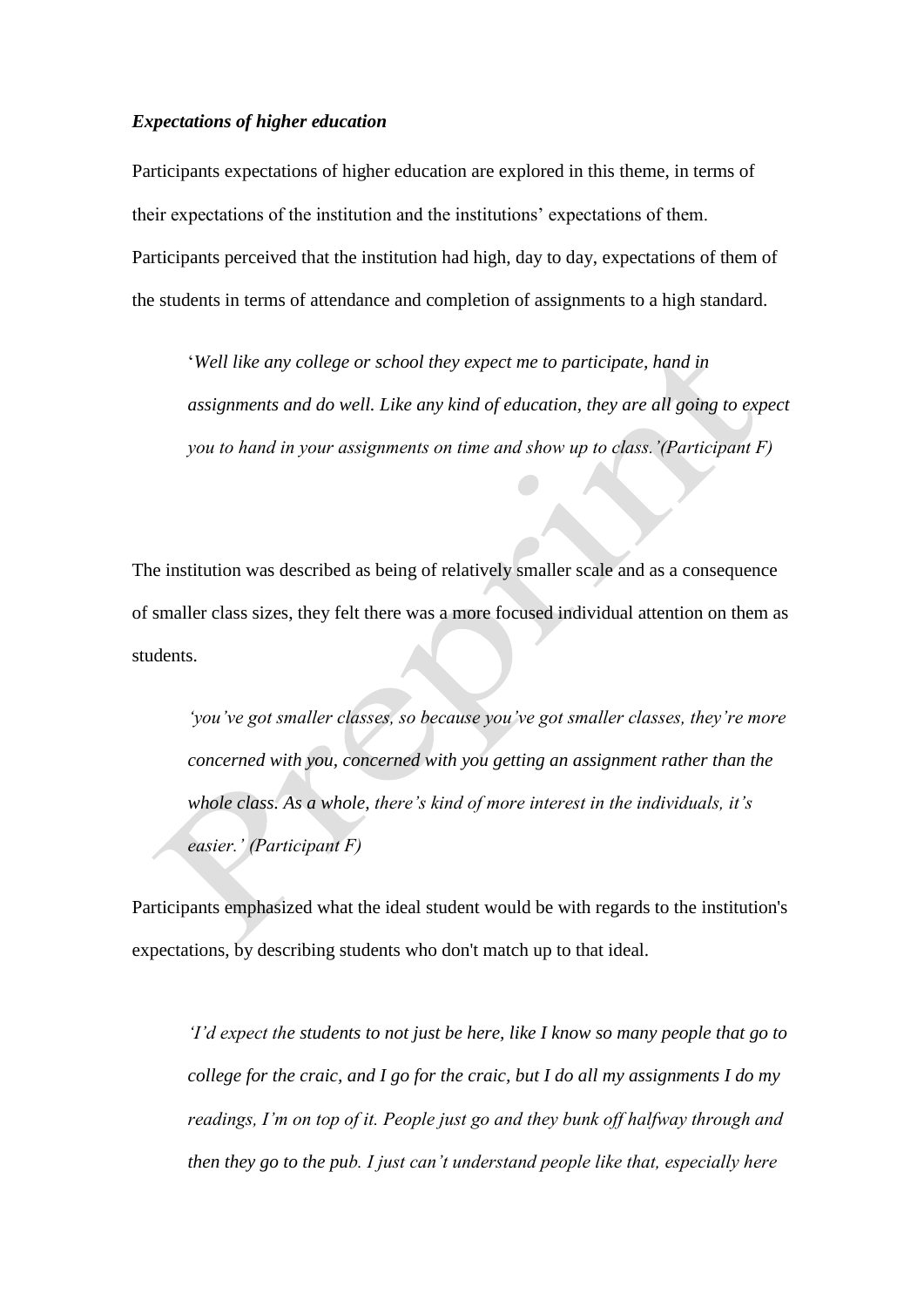## *Expectations of higher education*

Participants expectations of higher education are explored in this theme, in terms of their expectations of the institution and the institutions' expectations of them. Participants perceived that the institution had high, day to day, expectations of them of the students in terms of attendance and completion of assignments to a high standard.

'*Well like any college or school they expect me to participate, hand in assignments and do well. Like any kind of education, they are all going to expect you to hand in your assignments on time and show up to class.'(Participant F)*

The institution was described as being of relatively smaller scale and as a consequence of smaller class sizes, they felt there was a more focused individual attention on them as students.

*'you've got smaller classes, so because you've got smaller classes, they're more concerned with you, concerned with you getting an assignment rather than the whole class. As a whole, there's kind of more interest in the individuals, it's easier.' (Participant F)*

Participants emphasized what the ideal student would be with regards to the institution's expectations, by describing students who don't match up to that ideal.

*'I'd expect the students to not just be here, like I know so many people that go to college for the craic, and I go for the craic, but I do all my assignments I do my readings, I'm on top of it. People just go and they bunk off halfway through and then they go to the pub. I just can't understand people like that, especially here*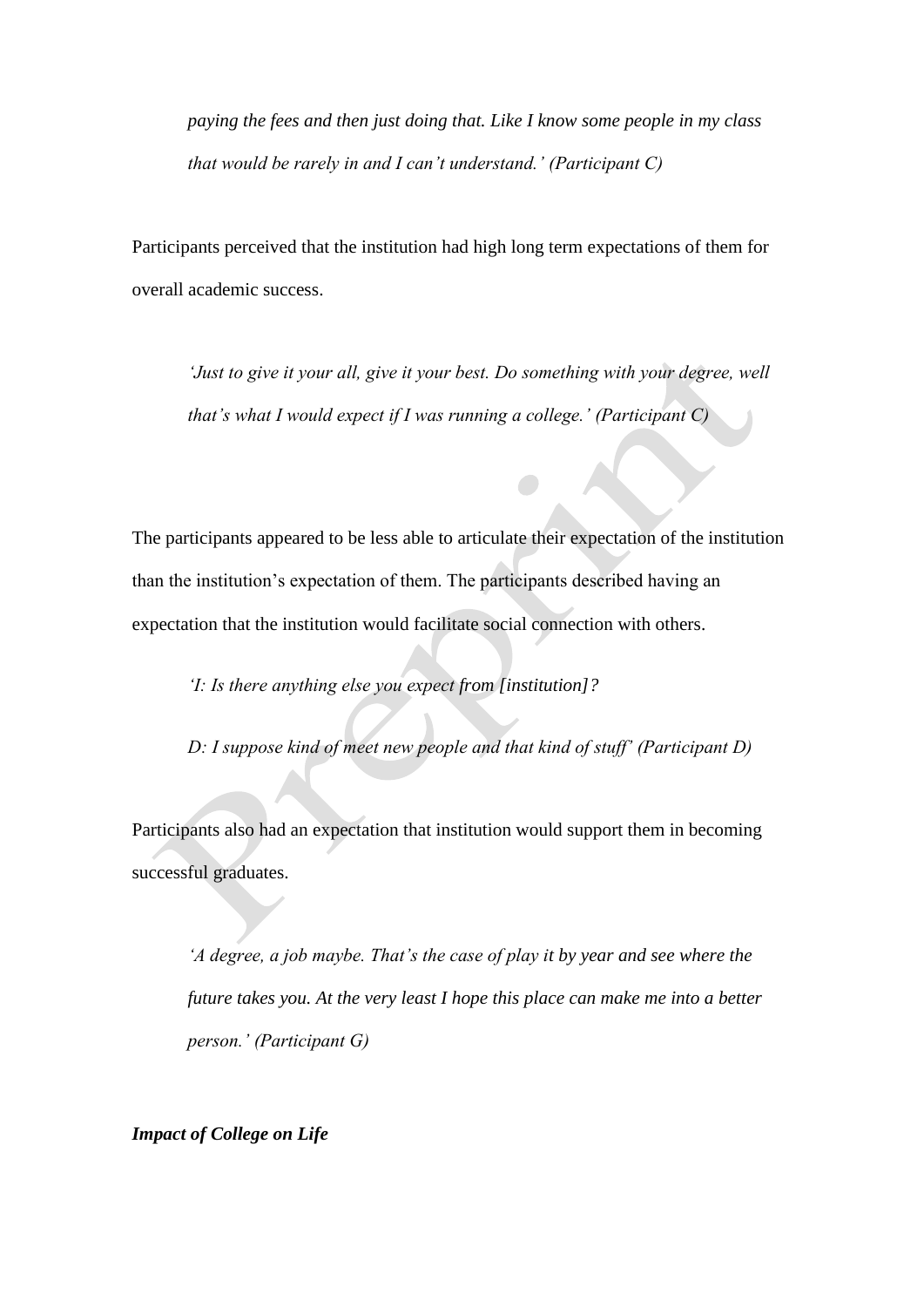*paying the fees and then just doing that. Like I know some people in my class that would be rarely in and I can't understand.' (Participant C)*

Participants perceived that the institution had high long term expectations of them for overall academic success.

*'Just to give it your all, give it your best. Do something with your degree, well that's what I would expect if I was running a college.' (Participant C)*

The participants appeared to be less able to articulate their expectation of the institution than the institution's expectation of them. The participants described having an expectation that the institution would facilitate social connection with others.

*'I: Is there anything else you expect from [institution]?*

*D: I suppose kind of meet new people and that kind of stuff' (Participant D)*

Participants also had an expectation that institution would support them in becoming successful graduates.

*'A degree, a job maybe. That's the case of play it by year and see where the future takes you. At the very least I hope this place can make me into a better person.' (Participant G)*

*Impact of College on Life*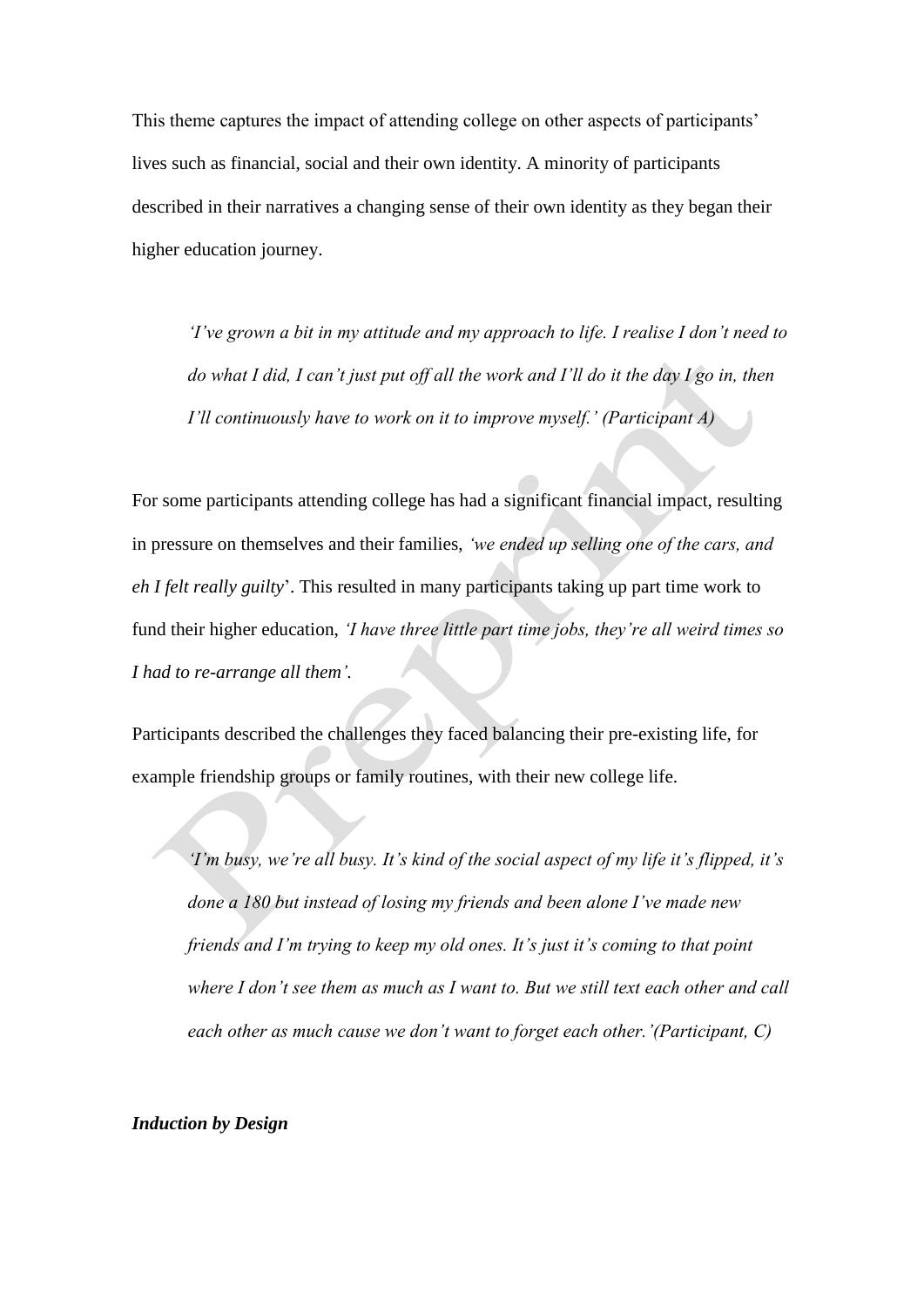This theme captures the impact of attending college on other aspects of participants' lives such as financial, social and their own identity. A minority of participants described in their narratives a changing sense of their own identity as they began their higher education journey.

*'I've grown a bit in my attitude and my approach to life. I realise I don't need to do what I did, I can't just put off all the work and I'll do it the day I go in, then I'll continuously have to work on it to improve myself.' (Participant A)*

For some participants attending college has had a significant financial impact, resulting in pressure on themselves and their families, *'we ended up selling one of the cars, and eh I felt really guilty*'. This resulted in many participants taking up part time work to fund their higher education, *'I have three little part time jobs, they're all weird times so I had to re-arrange all them'.*

Participants described the challenges they faced balancing their pre-existing life, for example friendship groups or family routines, with their new college life.

*'I'm busy, we're all busy. It's kind of the social aspect of my life it's flipped, it's done a 180 but instead of losing my friends and been alone I've made new friends and I'm trying to keep my old ones. It's just it's coming to that point where I don't see them as much as I want to. But we still text each other and call each other as much cause we don't want to forget each other.'(Participant, C)*

# *Induction by Design*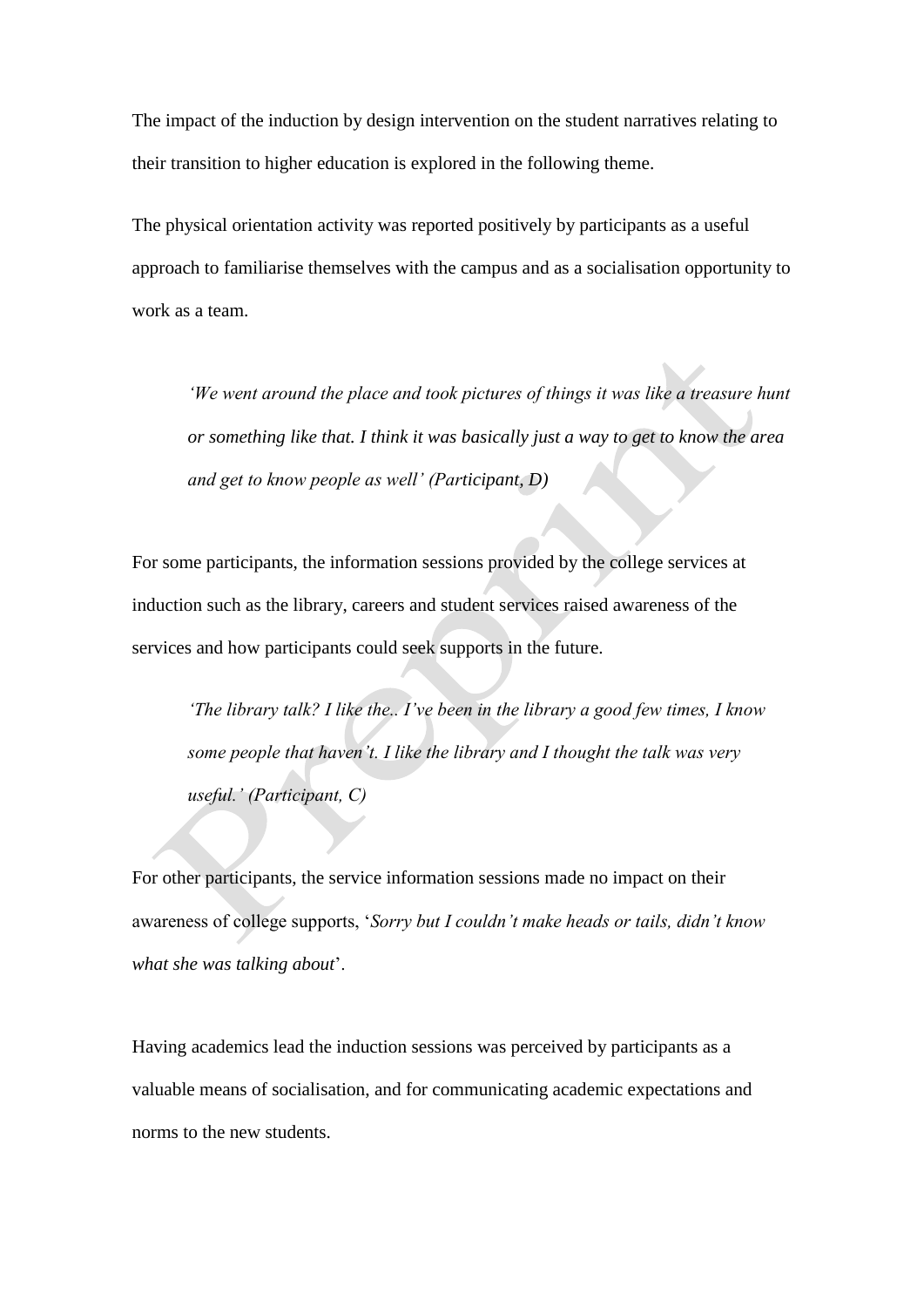The impact of the induction by design intervention on the student narratives relating to their transition to higher education is explored in the following theme.

The physical orientation activity was reported positively by participants as a useful approach to familiarise themselves with the campus and as a socialisation opportunity to work as a team.

*'We went around the place and took pictures of things it was like a treasure hunt or something like that. I think it was basically just a way to get to know the area and get to know people as well' (Participant, D)* 

For some participants, the information sessions provided by the college services at induction such as the library, careers and student services raised awareness of the services and how participants could seek supports in the future.

*'The library talk? I like the.. I've been in the library a good few times, I know some people that haven't. I like the library and I thought the talk was very useful.' (Participant, C)*

For other participants, the service information sessions made no impact on their awareness of college supports, '*Sorry but I couldn't make heads or tails, didn't know what she was talking about*'.

Having academics lead the induction sessions was perceived by participants as a valuable means of socialisation, and for communicating academic expectations and norms to the new students.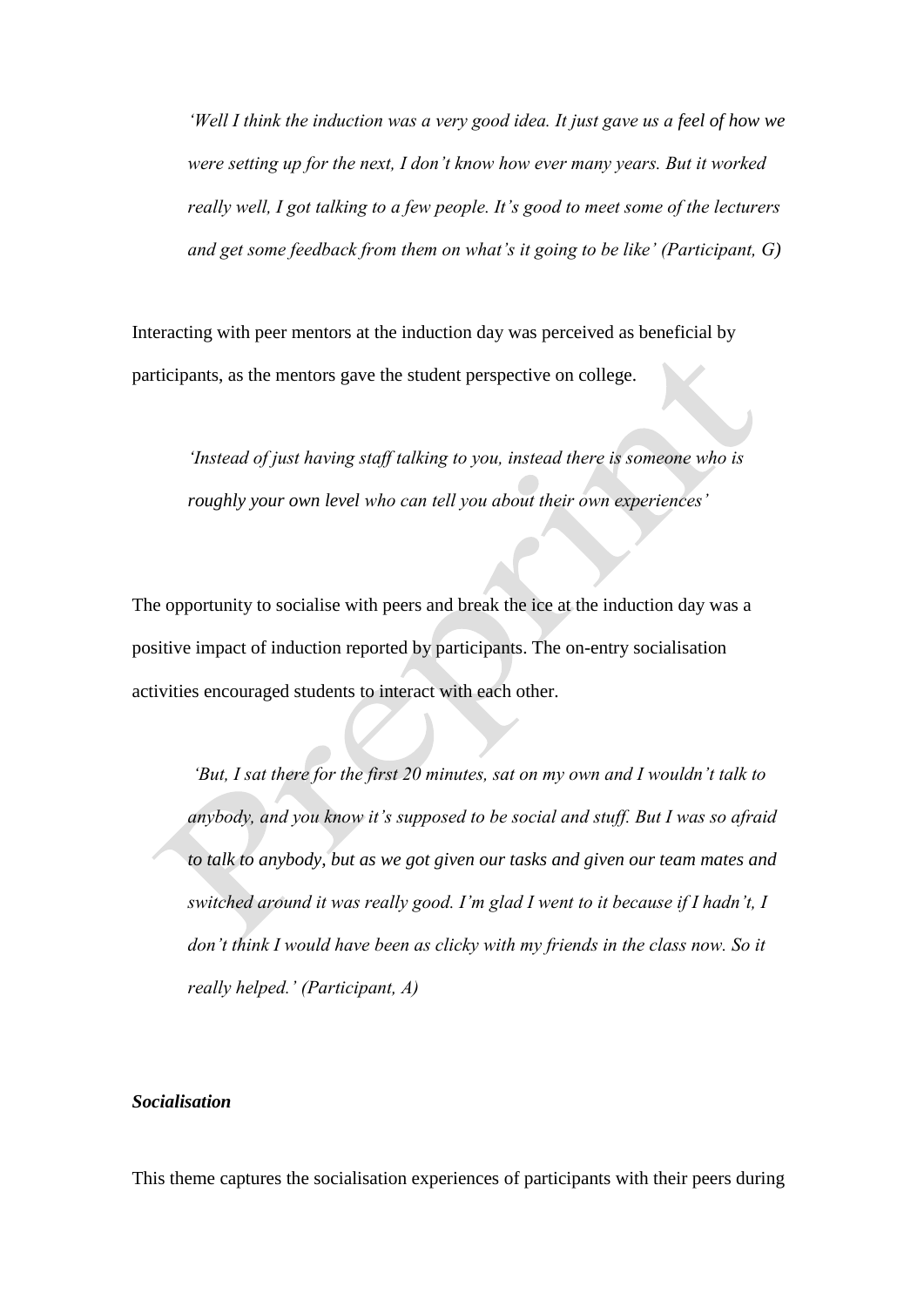*'Well I think the induction was a very good idea. It just gave us a feel of how we were setting up for the next, I don't know how ever many years. But it worked really well, I got talking to a few people. It's good to meet some of the lecturers and get some feedback from them on what's it going to be like' (Participant, G)*

Interacting with peer mentors at the induction day was perceived as beneficial by participants, as the mentors gave the student perspective on college.

*'Instead of just having staff talking to you, instead there is someone who is roughly your own level who can tell you about their own experiences'*

The opportunity to socialise with peers and break the ice at the induction day was a positive impact of induction reported by participants. The on-entry socialisation activities encouraged students to interact with each other.

*'But, I sat there for the first 20 minutes, sat on my own and I wouldn't talk to anybody, and you know it's supposed to be social and stuff. But I was so afraid to talk to anybody, but as we got given our tasks and given our team mates and switched around it was really good. I'm glad I went to it because if I hadn't, I don't think I would have been as clicky with my friends in the class now. So it really helped.' (Participant, A)*

## *Socialisation*

This theme captures the socialisation experiences of participants with their peers during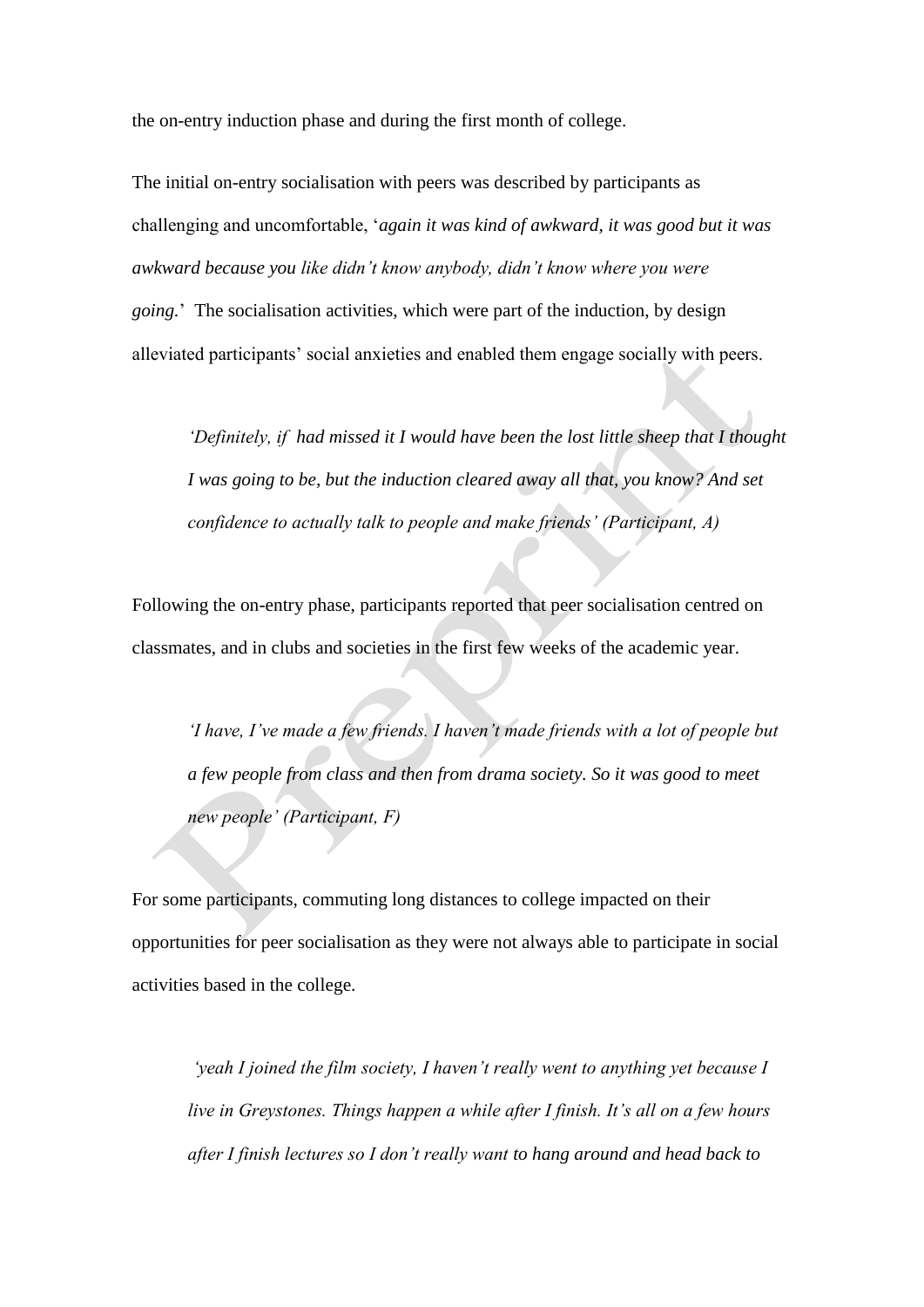the on-entry induction phase and during the first month of college.

The initial on-entry socialisation with peers was described by participants as challenging and uncomfortable, '*again it was kind of awkward, it was good but it was awkward because you like didn't know anybody, didn't know where you were going.*' The socialisation activities, which were part of the induction, by design alleviated participants' social anxieties and enabled them engage socially with peers.

*'Definitely, if had missed it I would have been the lost little sheep that I thought I was going to be, but the induction cleared away all that, you know? And set confidence to actually talk to people and make friends' (Participant, A)*

Following the on-entry phase, participants reported that peer socialisation centred on classmates, and in clubs and societies in the first few weeks of the academic year.

*'I have, I've made a few friends. I haven't made friends with a lot of people but a few people from class and then from drama society. So it was good to meet new people' (Participant, F)*

For some participants, commuting long distances to college impacted on their opportunities for peer socialisation as they were not always able to participate in social activities based in the college.

*'yeah I joined the film society, I haven't really went to anything yet because I live in Greystones. Things happen a while after I finish. It's all on a few hours after I finish lectures so I don't really want to hang around and head back to*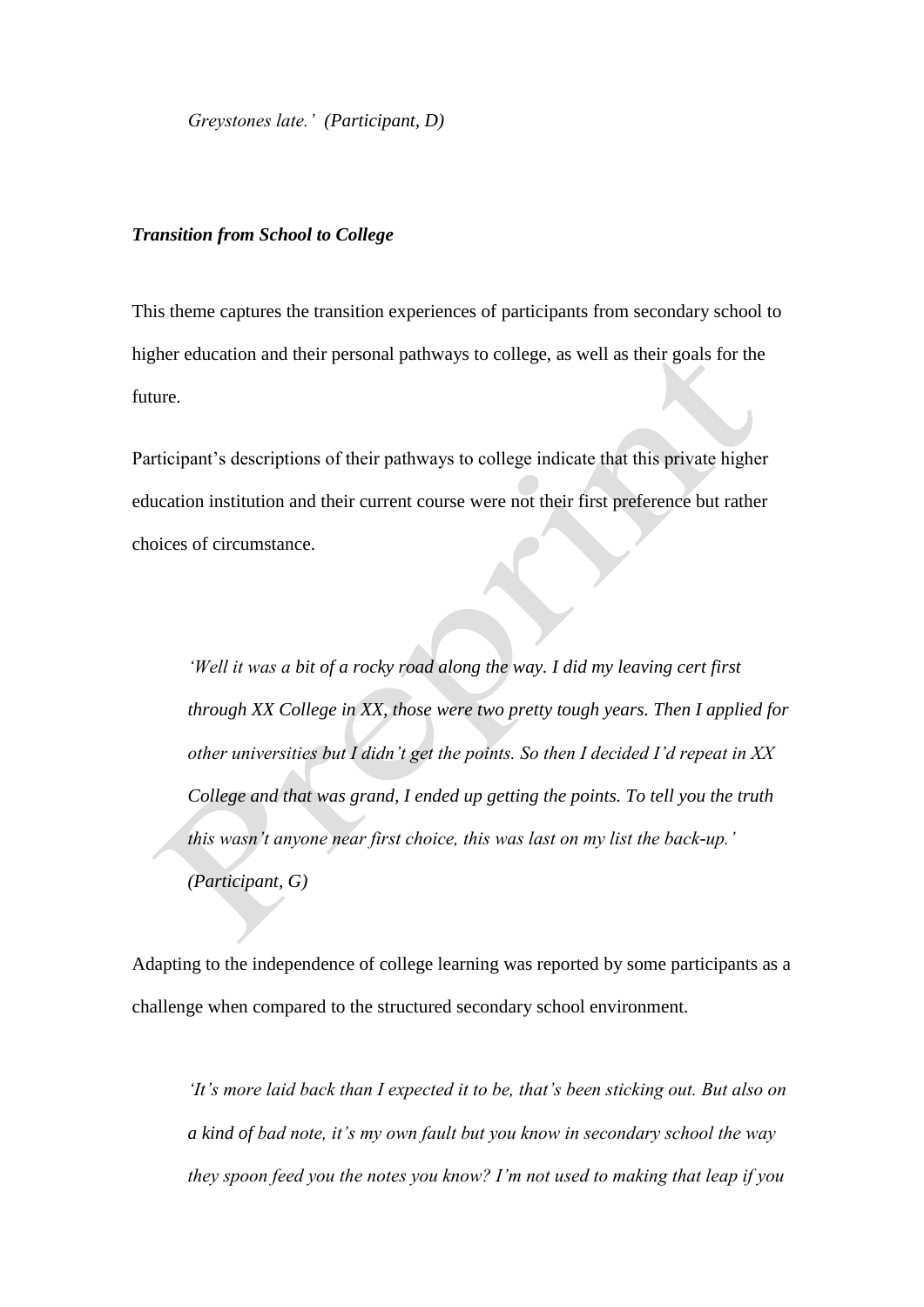*Greystones late.' (Participant, D)*

## *Transition from School to College*

This theme captures the transition experiences of participants from secondary school to higher education and their personal pathways to college, as well as their goals for the future.

Participant's descriptions of their pathways to college indicate that this private higher education institution and their current course were not their first preference but rather choices of circumstance.

*'Well it was a bit of a rocky road along the way. I did my leaving cert first through XX College in XX, those were two pretty tough years. Then I applied for other universities but I didn't get the points. So then I decided I'd repeat in XX College and that was grand, I ended up getting the points. To tell you the truth this wasn't anyone near first choice, this was last on my list the back-up.' (Participant, G)*

Adapting to the independence of college learning was reported by some participants as a challenge when compared to the structured secondary school environment.

*'It's more laid back than I expected it to be, that's been sticking out. But also on a kind of bad note, it's my own fault but you know in secondary school the way they spoon feed you the notes you know? I'm not used to making that leap if you*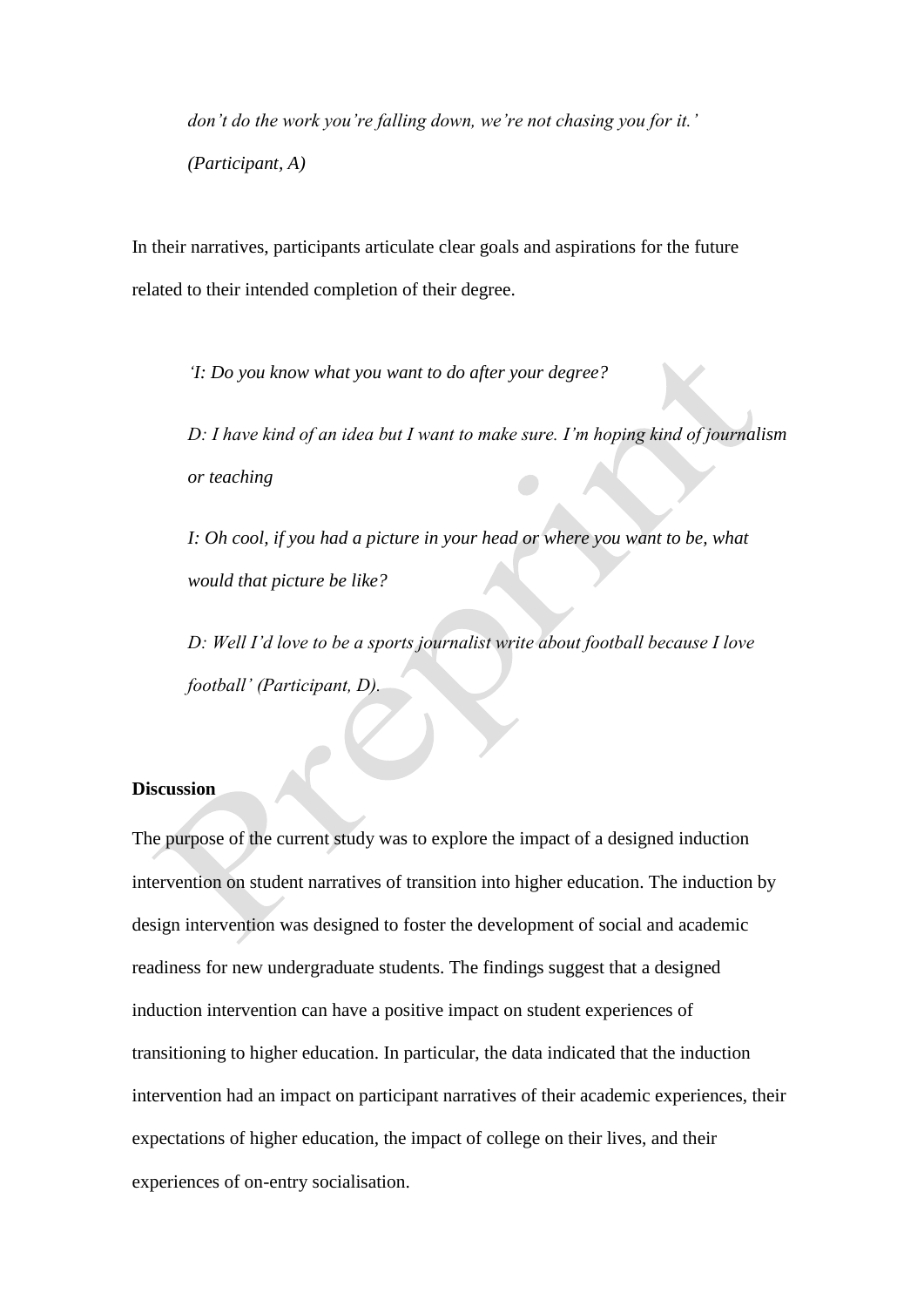*don't do the work you're falling down, we're not chasing you for it.' (Participant, A)*

In their narratives, participants articulate clear goals and aspirations for the future related to their intended completion of their degree.

*'I: Do you know what you want to do after your degree?*

*D: I have kind of an idea but I want to make sure. I'm hoping kind of journalism or teaching*

*I: Oh cool, if you had a picture in your head or where you want to be, what would that picture be like?*

*D: Well I'd love to be a sports journalist write about football because I love football' (Participant, D).*

#### **Discussion**

The purpose of the current study was to explore the impact of a designed induction intervention on student narratives of transition into higher education. The induction by design intervention was designed to foster the development of social and academic readiness for new undergraduate students. The findings suggest that a designed induction intervention can have a positive impact on student experiences of transitioning to higher education. In particular, the data indicated that the induction intervention had an impact on participant narratives of their academic experiences, their expectations of higher education, the impact of college on their lives, and their experiences of on-entry socialisation.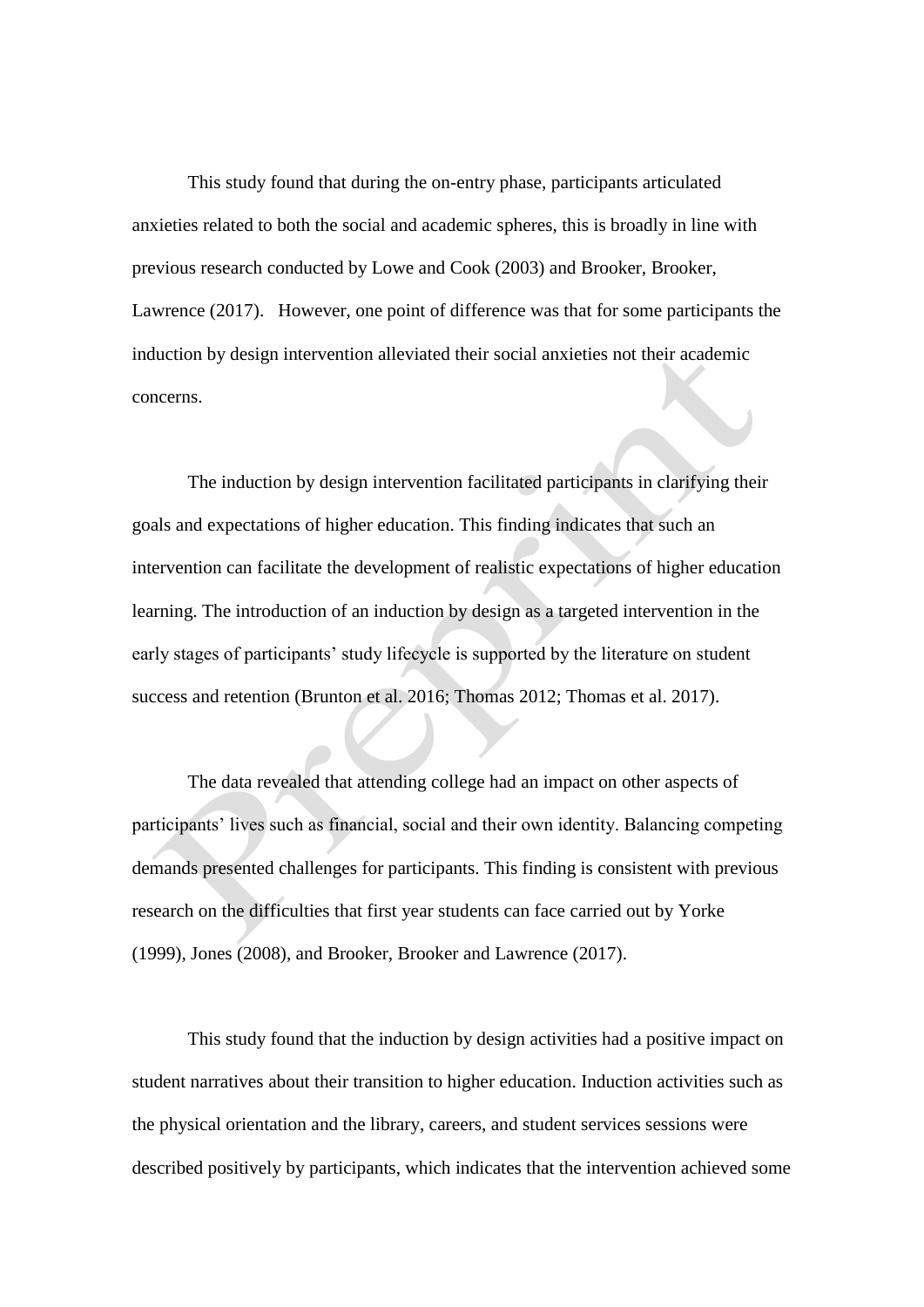This study found that during the on-entry phase, participants articulated anxieties related to both the social and academic spheres, this is broadly in line with previous research conducted by Lowe and Cook (2003) and Brooker, Brooker, Lawrence (2017). However, one point of difference was that for some participants the induction by design intervention alleviated their social anxieties not their academic concerns.

The induction by design intervention facilitated participants in clarifying their goals and expectations of higher education. This finding indicates that such an intervention can facilitate the development of realistic expectations of higher education learning. The introduction of an induction by design as a targeted intervention in the early stages of participants' study lifecycle is supported by the literature on student success and retention (Brunton et al. 2016; Thomas 2012; Thomas et al. 2017).

The data revealed that attending college had an impact on other aspects of participants' lives such as financial, social and their own identity. Balancing competing demands presented challenges for participants. This finding is consistent with previous research on the difficulties that first year students can face carried out by Yorke (1999), Jones (2008), and Brooker, Brooker and Lawrence (2017).

This study found that the induction by design activities had a positive impact on student narratives about their transition to higher education. Induction activities such as the physical orientation and the library, careers, and student services sessions were described positively by participants, which indicates that the intervention achieved some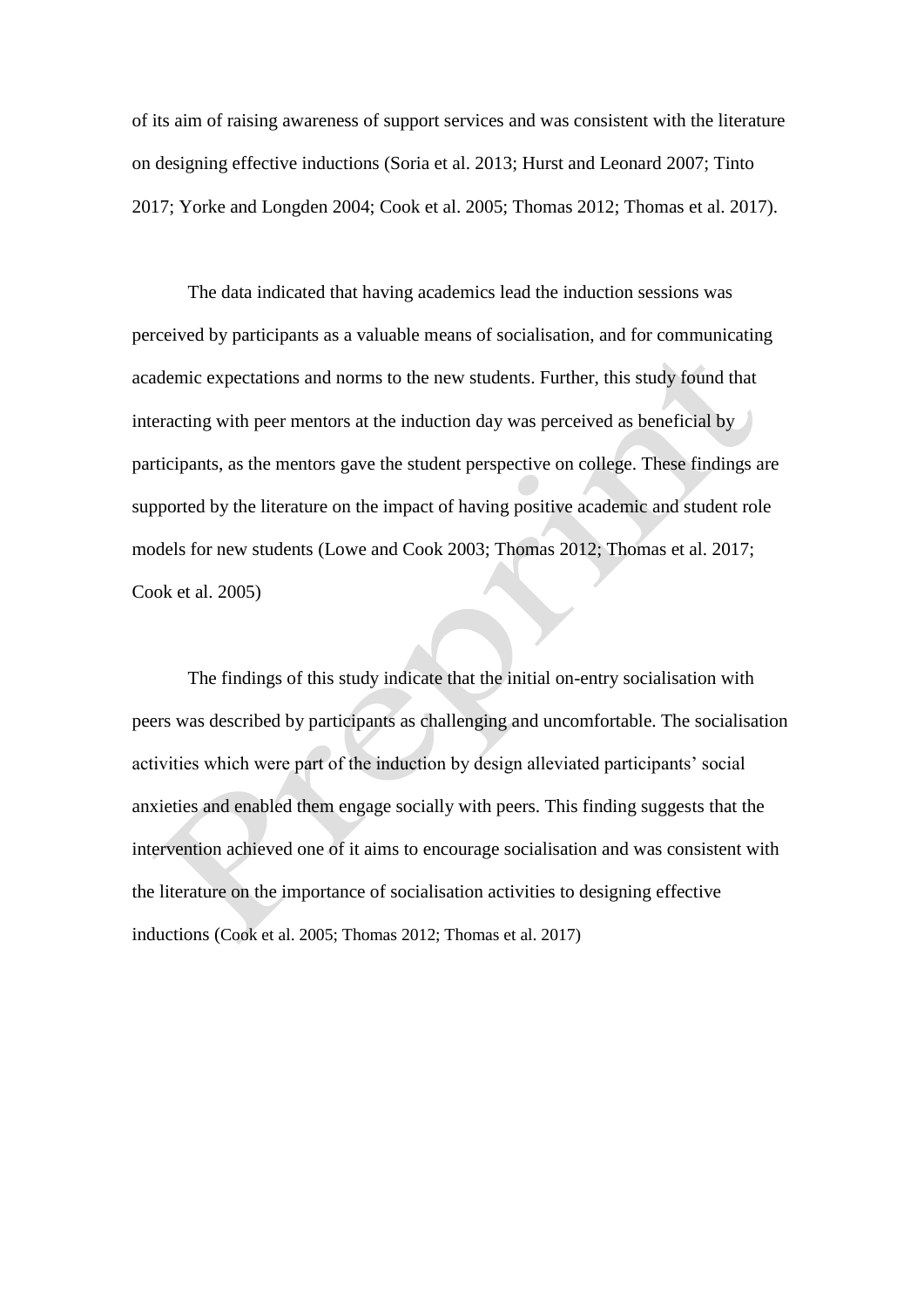of its aim of raising awareness of support services and was consistent with the literature on designing effective inductions (Soria et al. 2013; Hurst and Leonard 2007; Tinto 2017; Yorke and Longden 2004; Cook et al. 2005; Thomas 2012; Thomas et al. 2017).

The data indicated that having academics lead the induction sessions was perceived by participants as a valuable means of socialisation, and for communicating academic expectations and norms to the new students. Further, this study found that interacting with peer mentors at the induction day was perceived as beneficial by participants, as the mentors gave the student perspective on college. These findings are supported by the literature on the impact of having positive academic and student role models for new students (Lowe and Cook 2003; Thomas 2012; Thomas et al. 2017; Cook et al. 2005)

The findings of this study indicate that the initial on-entry socialisation with peers was described by participants as challenging and uncomfortable. The socialisation activities which were part of the induction by design alleviated participants' social anxieties and enabled them engage socially with peers. This finding suggests that the intervention achieved one of it aims to encourage socialisation and was consistent with the literature on the importance of socialisation activities to designing effective inductions (Cook et al. 2005; Thomas 2012; Thomas et al. 2017)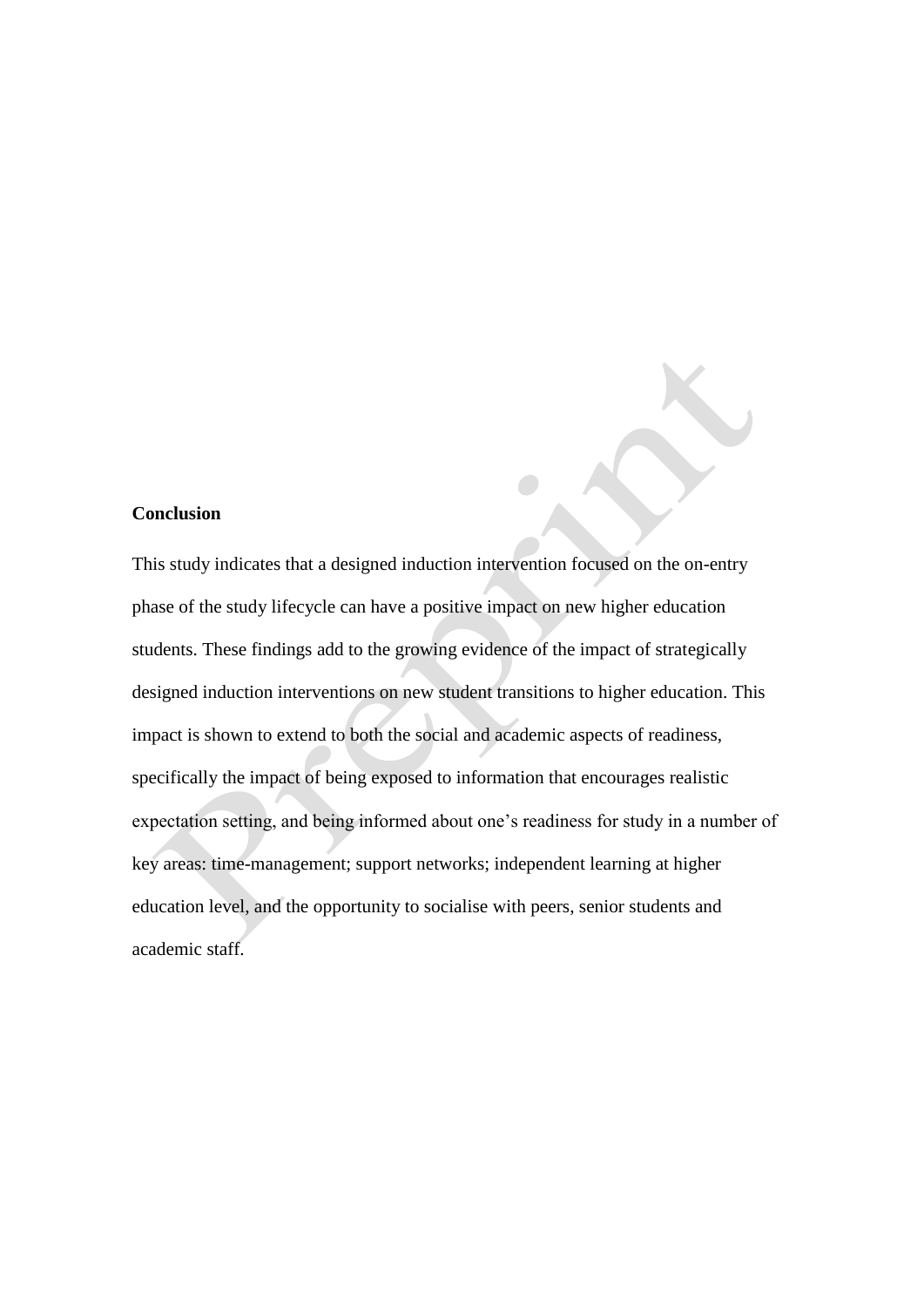# **Conclusion**

This study indicates that a designed induction intervention focused on the on-entry phase of the study lifecycle can have a positive impact on new higher education students. These findings add to the growing evidence of the impact of strategically designed induction interventions on new student transitions to higher education. This impact is shown to extend to both the social and academic aspects of readiness, specifically the impact of being exposed to information that encourages realistic expectation setting, and being informed about one's readiness for study in a number of key areas: time-management; support networks; independent learning at higher education level, and the opportunity to socialise with peers, senior students and academic staff.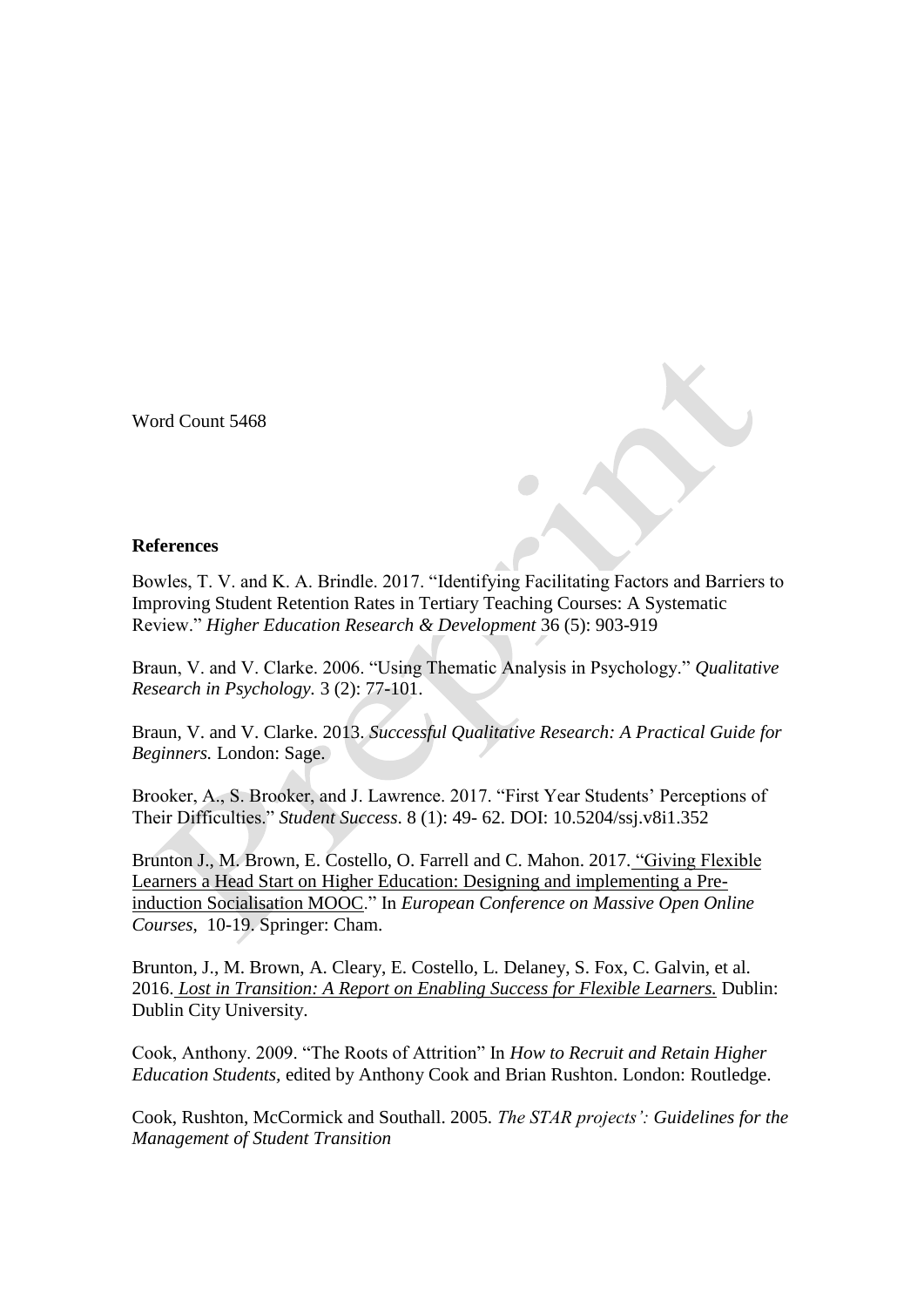Word Count 5468

# **References**

Bowles, T. V. and K. A. Brindle. 2017. "Identifying Facilitating Factors and Barriers to Improving Student Retention Rates in Tertiary Teaching Courses: A Systematic Review." *Higher Education Research & Development* 36 (5): 903-919

Braun, V. and V. Clarke. 2006. "Using Thematic Analysis in Psychology." *Qualitative Research in Psychology.* 3 (2): 77-101.

Braun, V. and V. Clarke. 2013. *Successful Qualitative Research: A Practical Guide for Beginners.* London: Sage.

Brooker, A., S. Brooker, and J. Lawrence. 2017. "First Year Students' Perceptions of Their Difficulties." *Student Success*. 8 (1): 49- 62. DOI: 10.5204/ssj.v8i1.352

Brunton J., M. Brown, E. Costello, O. Farrell and C. Mahon. 2017. ["Giving Flexible](https://link.springer.com/chapter/10.1007/978-3-319-59044-8_2)  [Learners a Head Start on Higher Education: Designing and implementing a Pre](https://link.springer.com/chapter/10.1007/978-3-319-59044-8_2)[induction Socialisation MOOC.](https://link.springer.com/chapter/10.1007/978-3-319-59044-8_2)" In *European Conference on Massive Open Online Courses*, 10-19. Springer: Cham.

Brunton, J., M. Brown, A. Cleary, E. Costello, L. Delaney, S. Fox, C. Galvin, et al. 2016. *Lost in Transition: A Report [on Enabling Success for Flexible Learners.](http://studentsuccess.ie/wp-content/uploads/2016/06/STUDENT_SUCCESS_TOOLBOX-LOST_IN_TRANSITION_REPORT.pdf)* Dublin: Dublin City University.

Cook, Anthony. 2009. "The Roots of Attrition" In *How to Recruit and Retain Higher Education Students,* edited by Anthony Cook and Brian Rushton. London: Routledge.

Cook, Rushton, McCormick and Southall. 2005. *The STAR projects': Guidelines for the Management of Student Transition*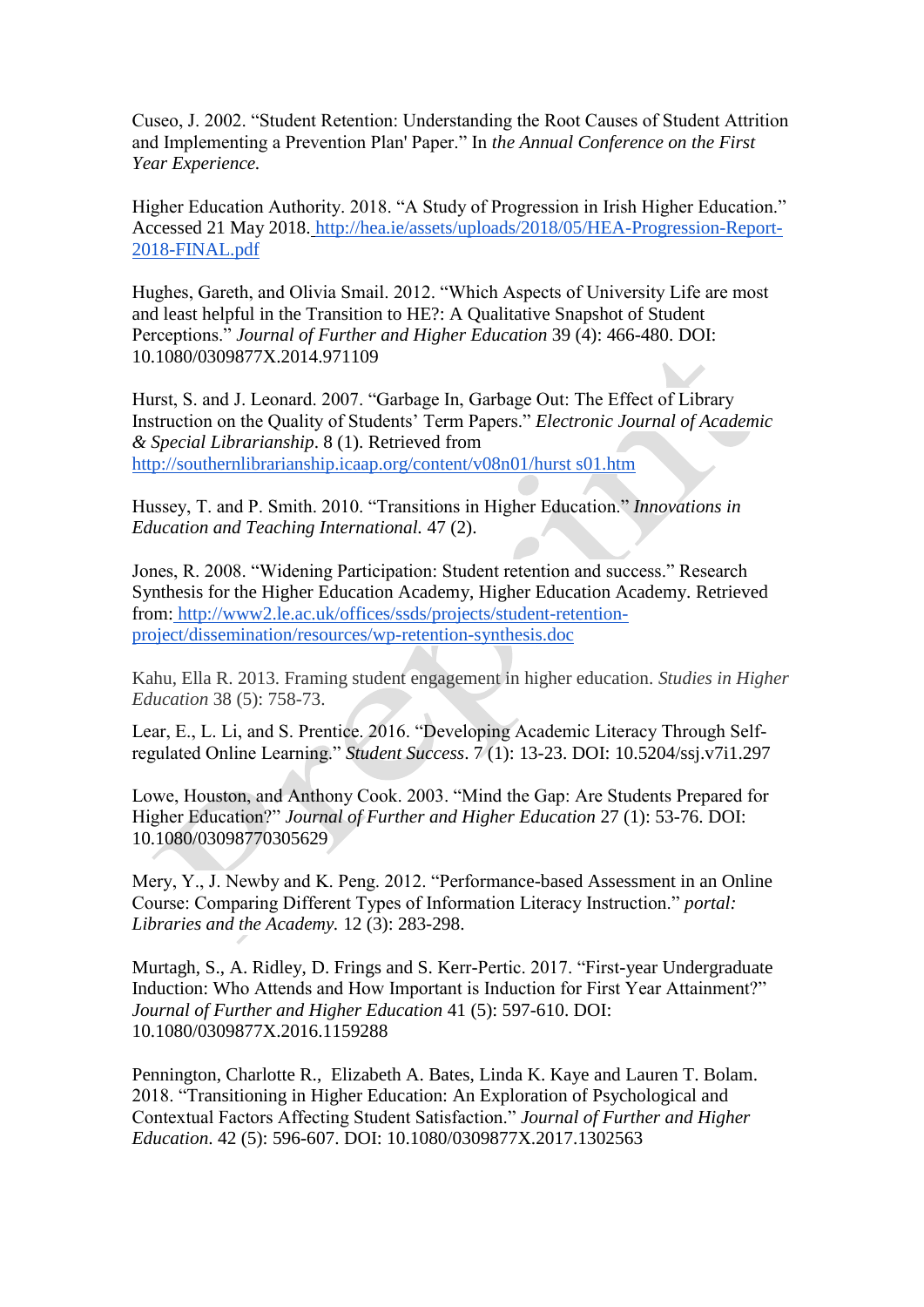Cuseo, J. 2002. "Student Retention: Understanding the Root Causes of Student Attrition and Implementing a Prevention Plan' Paper." In *the Annual Conference on the First Year Experience.*

Higher Education Authority. 2018. "A Study of Progression in Irish Higher Education." Accessed 21 May 2018. [http://hea.ie/assets/uploads/2018/05/HEA-Progression-Report-](http://hea.ie/assets/uploads/2018/05/HEA-Progression-Report-2018-FINAL.pdf)[2018-FINAL.pdf](http://hea.ie/assets/uploads/2018/05/HEA-Progression-Report-2018-FINAL.pdf)

Hughes, Gareth, and Olivia Smail. 2012. "Which Aspects of University Life are most and least helpful in the Transition to HE?: A Qualitative Snapshot of Student Perceptions." *Journal of Further and Higher Education* 39 (4): 466-480. DOI: 10.1080/0309877X.2014.971109

Hurst, S. and J. Leonard. 2007. "Garbage In, Garbage Out: The Effect of Library Instruction on the Quality of Students' Term Papers." *Electronic Journal of Academic & Special Librarianship*. 8 (1). Retrieved from [http://southernlibrarianship.icaap.org/content/v08n01/hurst s01.htm](http://southernlibrarianship.icaap.org/content/v08n01/hurst%20s01.htm)

Hussey, T. and P. Smith. 2010. "Transitions in Higher Education." *Innovations in Education and Teaching International.* 47 (2).

Jones, R. 2008. "Widening Participation: Student retention and success." Research Synthesis for the Higher Education Academy, Higher Education Academy. Retrieved from: [http://www2.le.ac.uk/offices/ssds/projects/student-retention](http://www2.le.ac.uk/offices/ssds/projects/student-retention-project/dissemination/resources/wp-retention-synthesis.doc)[project/dissemination/resources/wp-retention-synthesis.doc](http://www2.le.ac.uk/offices/ssds/projects/student-retention-project/dissemination/resources/wp-retention-synthesis.doc)

Kahu, Ella R. 2013. Framing student engagement in higher education. *Studies in Higher Education* 38 (5): 758-73.

Lear, E., L. Li, and S. Prentice. 2016. "Developing Academic Literacy Through Selfregulated Online Learning." *Student Success*. 7 (1): 13-23. DOI: 10.5204/ssj.v7i1.297

Lowe, Houston, and Anthony Cook. 2003. "Mind the Gap: Are Students Prepared for Higher Education?" *Journal of Further and Higher Education* 27 (1): 53-76. DOI: 10.1080/03098770305629

Mery, Y., J. Newby and K. Peng. 2012. "Performance-based Assessment in an Online Course: Comparing Different Types of Information Literacy Instruction." *portal: Libraries and the Academy.* 12 (3): 283-298.

Murtagh, S., A. Ridley, D. Frings and S. Kerr-Pertic. 2017. "First-year Undergraduate Induction: Who Attends and How Important is Induction for First Year Attainment?" *Journal of Further and Higher Education* 41 (5): 597-610. DOI: 10.1080/0309877X.2016.1159288

Pennington, Charlotte R., Elizabeth A. Bates, Linda K. Kaye and Lauren T. Bolam. 2018. "Transitioning in Higher Education: An Exploration of Psychological and Contextual Factors Affecting Student Satisfaction." *Journal of Further and Higher Education*. 42 (5): 596-607. DOI: 10.1080/0309877X.2017.1302563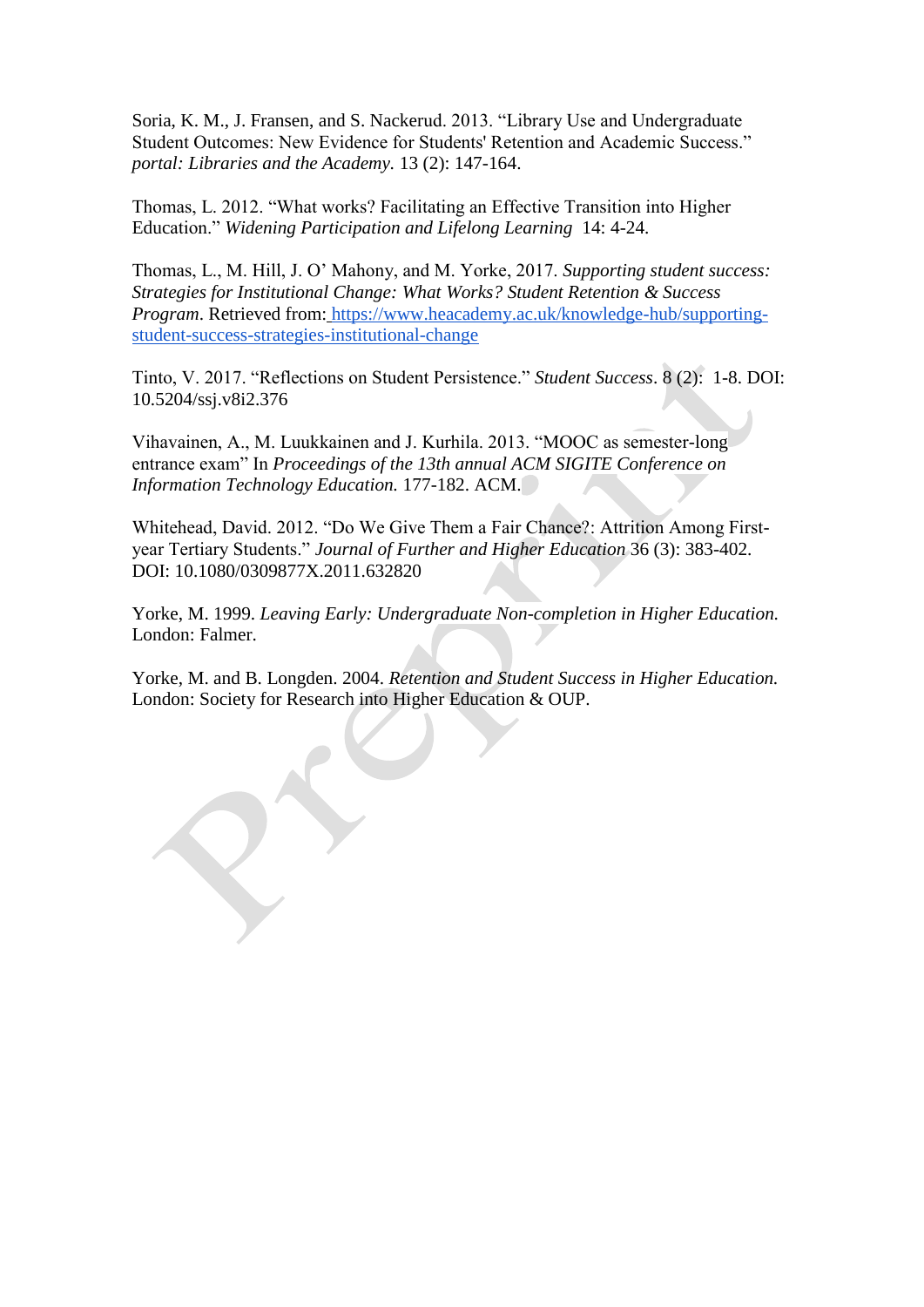Soria, K. M., J. Fransen, and S. Nackerud. 2013. "Library Use and Undergraduate Student Outcomes: New Evidence for Students' Retention and Academic Success." *portal: Libraries and the Academy.* 13 (2): 147-164.

Thomas, L. 2012. "What works? Facilitating an Effective Transition into Higher Education." *Widening Participation and Lifelong Learning* 14: 4-24.

Thomas, L., M. Hill, J. O' Mahony, and M. Yorke, 2017. *Supporting student success: Strategies for Institutional Change: What Works? Student Retention & Success Program*. Retrieved from: [https://www.heacademy.ac.uk/knowledge-hub/supporting](https://www.heacademy.ac.uk/knowledge-hub/supporting-student-success-strategies-institutional-change)[student-success-strategies-institutional-change](https://www.heacademy.ac.uk/knowledge-hub/supporting-student-success-strategies-institutional-change)

Tinto, V. 2017. "Reflections on Student Persistence." *Student Success*. 8 (2): 1-8. DOI: 10.5204/ssj.v8i2.376

Vihavainen, A., M. Luukkainen and J. Kurhila. 2013. "MOOC as semester-long entrance exam" In *Proceedings of the 13th annual ACM SIGITE Conference on Information Technology Education.* 177-182. ACM.

Whitehead, David. 2012. "Do We Give Them a Fair Chance?: Attrition Among Firstyear Tertiary Students." *Journal of Further and Higher Education* 36 (3): 383-402. DOI: 10.1080/0309877X.2011.632820

Yorke, M. 1999. *Leaving Early: Undergraduate Non-completion in Higher Education.* London: Falmer.

Yorke, M. and B. Longden. 2004. *Retention and Student Success in Higher Education.* London: Society for Research into Higher Education & OUP.